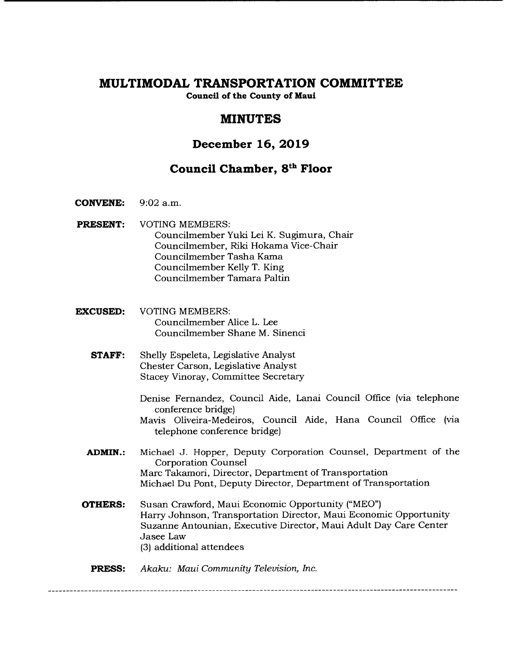# **MULTIMODAL TRANSPORTATION COMMITTEE**

**Council of the County of Maui** 

# **MINUTES**

# **December 16, 2019**

# **Council Chamber, 8<sup>th</sup> Floor**

- **CONVENE:** 9:02 a.m.
- **PRESENT:** VOTING MEMBERS: Councilmember Yuki Lei K. Sugimura, Chair Councilmember, Riki Hokama Vice-Chair Councilmember Tasha Kama Councilmember Kelly T. King Councilmember Tamara Paltin
- **EXCUSED:** VOTING MEMBERS: Councilmember Alice L. Lee Councilmember Shane M. Sinenci
	- **STAFF:** Shelly Espeleta, Legislative Analyst Chester Carson, Legislative Analyst Stacey Vinoray, Committee Secretary

Denise Fernandez, Council Aide, Lanai Council Office (via telephone conference bridge)

Mavis Oliveira-Medeiros, Council Aide, Hana Council Office (via telephone conference bridge)

- **ADMIN.:** Michael J. Hopper, Deputy Corporation Counsel, Department of the Corporation Counsel Marc Takamori, Director, Department of Transportation Michael Du Pont, Deputy Director, Department of Transportation
- **OTHERS:** Susan Crawford, Maui Economic Opportunity ("MEO") Harry Johnson, Transportation Director, Maui Economic Opportunity Suzanne Antounian, Executive Director, Maui Adult Day Care Center Jasee Law (3) additional attendees

# **PRESS:** *Akaku: Maui Community Television, Inc.*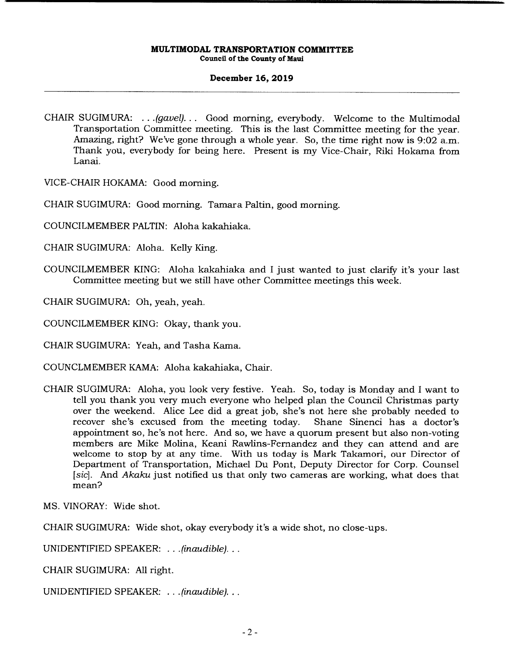# **December 16, 2019**

CHAIR SUGIMURA: . . . *(gavel)...* Good morning, everybody. Welcome to the Multimodal Transportation Committee meeting. This is the last Committee meeting for the year. Amazing, right? We've gone through a whole year. So, the time right now is 9:02 a.m. Thank you, everybody for being here. Present is my Vice-Chair, Riki Hokama from Lanai.

VICE-CHAIR HOKAMA: Good morning.

CHAIR SUGIMURA: Good morning. Tamara Paltin, good morning.

COUNCILMEMBER PALTIN: Aloha kakahiaka.

CHAIR SUGIMURA: Aloha. Kelly King.

COUNCILMEMBER KING: Aloha kakahiaka and I just wanted to just clarify it's your last Committee meeting but we still have other Committee meetings this week.

CHAIR SUGIMURA: Oh, yeah, yeah.

COUNCILMEMBER KING: Okay, thank you.

CHAIR SUGIMURA: Yeah, and Tasha Kama.

COUNCLMEMBER KAMA: Aloha kakahiaka, Chair.

CHAIR SUGIMURA: Aloha, you look very festive. Yeah. So, today is Monday and I want to tell you thank you very much everyone who helped plan the Council Christmas party over the weekend. Alice Lee did a great job, she's not here she probably needed to recover she's excused from the meeting today. Shane Sinenci has a doctor's appointment so, he's not here. And so, we have a quorum present but also non-voting members are Mike Molina, Keani Rawlins-Fernandez and they can attend and are welcome to stop by at any time. With us today is Mark Takamori, our Director of Department of Transportation, Michael Du Pont, Deputy Director for Corp. Counsel *[sic].* And *Akaku* just notified us that only two cameras are working, what does that mean?

MS. VINORAY: Wide shot.

CHAIR SUGIMURA: Wide shot, okay everybody it's a wide shot, no close-ups.

UNIDENTIFIED SPEAKER: ... *(inaudible)...* 

CHAIR SUGIMURA: All right.

UNIDENTIFIED SPEAKER: . . . *(inaudible)...*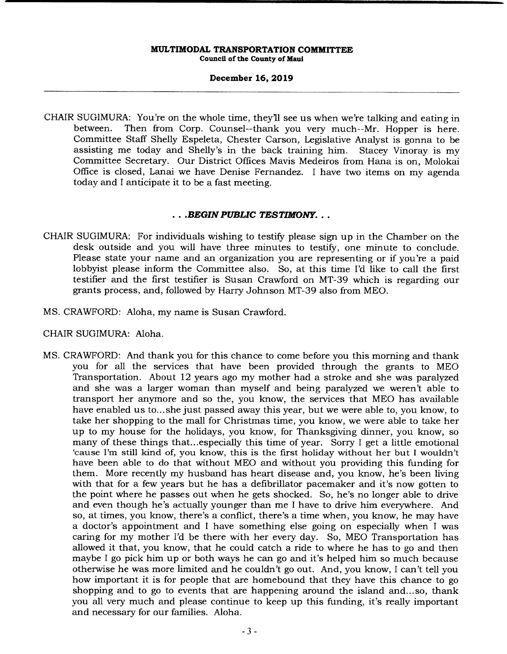# **December 16, 2019**

CHAIR SUGIMURA: You're on the whole time, they'll see us when we're talking and eating in between. Then from Corp. Counsel--thank you very much--Mr. Hopper is here. Committee Staff Shelly Espeleta, Chester Carson, Legislative Analyst is gonna to be assisting me today and Shelly's in the back training him. Stacey Vinoray is my Committee Secretary. Our District Offices Mavis Medeiros from Hana is on, Molokai Office is closed, Lanai we have Denise Fernandez. I have two items on my agenda today and I anticipate it to be a fast meeting.

# *• .BEGIN PUBLIC TESTIMONY...*

- CHAIR SUGIMURA: For individuals wishing to testify please sign up in the Chamber on the desk outside and you will have three minutes to testify, one minute to conclude. Please state your name and an organization you are representing or if you're a paid lobbyist please inform the Committee also. So, at this time I'd like to call the first testifier and the first testifier is Susan Crawford on MT-39 which is regarding our grants process, and, followed by Harry Johnson MT-39 also from MEO.
- MS. CRAWFORD: Aloha, my name is Susan Crawford.
- CHAIR SUGIMURA: Aloha.
- MS. CRAWFORD: And thank you for this chance to come before you this morning and thank you for all the services that have been provided through the grants to MEO Transportation. About 12 years ago my mother had a stroke and she was paralyzed and she was a larger woman than myself and being paralyzed we weren't able to transport her anymore and so the, you know, the services that MEO has available have enabled us to... she just passed away this year, but we were able to, you know, to take her shopping to the mall for Christmas time, you know, we were able to take her up to my house for the holidays, you know, for Thanksgiving dinner, you know, so many of these things that... especially this time of year. Sorry I get a little emotional 'cause I'm still kind of, you know, this is the first holiday without her but I wouldn't have been able to do that without MEO and without you providing this funding for them. More recently my husband has heart disease and, you know, he's been living with that for a few years but he has a defibrillator pacemaker and it's now gotten to the point where he passes out when he gets shocked. So, he's no longer able to drive and even though he's actually younger than me I have to drive him everywhere. And so, at times, you know, there's a conflict, there's a time when, you know, he may have a doctor's appointment and I have something else going on especially when I was caring for my mother I'd be there with her every day. So, MEO Transportation has allowed it that, you know, that he could catch a ride to where he has to go and then maybe I go pick him up or both ways he can go and it's helped him so much because otherwise he was more limited and he couldn't go out. And, you know, I can't tell you how important it is for people that are homebound that they have this chance to go shopping and to go to events that are happening around the island and... so, thank you all very much and please continue to keep up this funding, it's really important and necessary for our families. Aloha.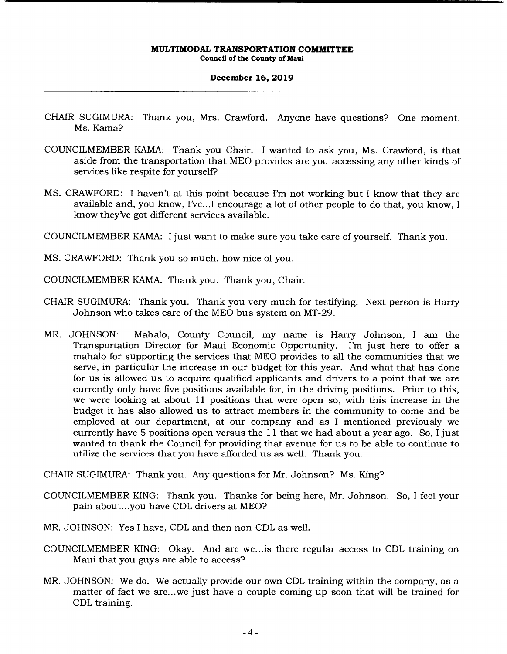## **December 16, 2019**

- CHAIR SUGIMURA: Thank you, Mrs. Crawford. Anyone have questions? One moment. Ms. Kama?
- COUNCILMEMBER KAMA: Thank you Chair. I wanted to ask you, Ms. Crawford, is that aside from the transportation that MEO provides are you accessing any other kinds of services like respite for yourself?
- MS. CRAWFORD: I haven't at this point because I'm not working but I know that they are available and, you know, I've...I encourage a lot of other people to do that, you know, I know they've got different services available.
- COUNCILMEMBER KAMA: Ijust want to make sure you take care of yourself. Thank you.
- MS. CRAWFORD: Thank you so much, how nice of you.
- COUNCILMEMBER KAMA: Thank you. Thank you, Chair.
- CHAIR SUGIMURA: Thank you. Thank you very much for testifying. Next person is Harry Johnson who takes care of the MEO bus system on MT-29.
- MR. JOHNSON: Mahalo, County Council, my name is Harry Johnson, I am the Transportation Director for Maui Economic Opportunity. I'm just here to offer a mahalo for supporting the services that MEO provides to all the communities that we serve, in particular the increase in our budget for this year. And what that has done for us is allowed us to acquire qualified applicants and drivers to a point that we are currently only have five positions available for, in the driving positions. Prior to this, we were looking at about 11 positions that were open so, with this increase in the budget it has also allowed us to attract members in the community to come and be employed at our department, at our company and as I mentioned previously we currently have 5 positions open versus the 11 that we had about a year ago. So, I just wanted to thank the Council for providing that avenue for us to be able to continue to utilize the services that you have afforded us as well. Thank you.
- CHAIR SUGIMURA: Thank you. Any questions for Mr. Johnson? Ms. King?
- COUNCILMEMBER KING: Thank you. Thanks for being here, Mr. Johnson. So, I feel your pain about.. .you have CDL drivers at MEO?
- MR. JOHNSON: Yes I have, CDL and then non-CDL as well.
- COUNCILMEMBER KING: Okay. And are we.. .is there regular access to CDL training on Maui that you guys are able to access?
- MR. JOHNSON: We do. We actually provide our own CDL training within the company, as a matter of fact we are... we just have a couple coming up soon that will be trained for CDL training.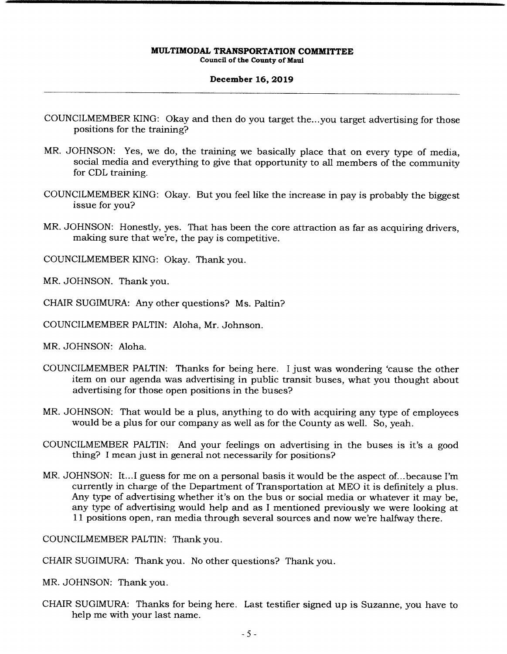### **December 16, 2019**

- COUNCILMEMBER KING: Okay and then do you target the.. .you target advertising for those positions for the training?
- MR. JOHNSON: Yes, we do, the training we basically place that on every type of media, social media and everything to give that opportunity to all members of the community for CDL training.
- COUNCILMEMBER KING: Okay. But you feel like the increase in pay is probably the biggest issue for you?
- MR. JOHNSON: Honestly, yes. That has been the core attraction as far as acquiring drivers, making sure that we're, the pay is competitive.

COUNCILMEMBER KING: Okay. Thank you.

MR. JOHNSON. Thank you.

- CHAIR SUGIMURA: Any other questions? Ms. Paltin?
- COUNCILMEMBER PALTIN: Aloha, Mr. Johnson.
- MR. JOHNSON: Aloha.
- COUNCILMEMBER PALTIN: Thanks for being here. I just was wondering 'cause the other item on our agenda was advertising in public transit buses, what you thought about advertising for those open positions in the buses?
- MR. JOHNSON: That would be a plus, anything to do with acquiring any type of employees would be a plus for our company as well as for the County as well. So, yeah.
- COUNCILMEMBER PALTIN: And your feelings on advertising in the buses is it's a good thing? I mean just in general not necessarily for positions?
- MR. JOHNSON: It...I guess for me on a personal basis it would be the aspect of...because I'm currently in charge of the Department of Transportation at MEO it is definitely a plus. Any type of advertising whether it's on the bus or social media or whatever it may be, any type of advertising would help and as I mentioned previously we were looking at 11 positions open, ran media through several sources and now we're halfway there.

COUNCILMEMBER PALTIN: Thank you.

CHAIR SUGIMURA: Thank you. No other questions? Thank you.

MR. JOHNSON: Thank you.

CHAIR SUGIMURA: Thanks for being here. Last testifier signed up is Suzanne, you have to help me with your last name.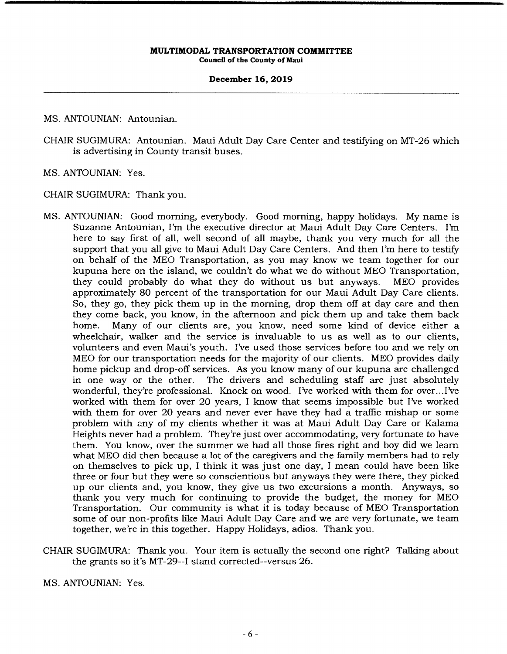### **December 16, 2019**

MS. ANTOUNIAN: Antounian.

CHAIR SUGIMURA: Antounian. Maui Adult Day Care Center and testifying on MT-26 which is advertising in County transit buses.

MS. ANTOUNIAN: Yes.

CHAIR SUGIMURA: Thank you.

- MS. ANTOUNIAN: Good morning, everybody. Good morning, happy holidays. My name is Suzanne Antounian, I'm the executive director at Maui Adult Day Care Centers. I'm here to say first of all, well second of all maybe, thank you very much for all the support that you all give to Maui Adult Day Care Centers. And then I'm here to testify on behalf of the MEO Transportation, as you may know we team together for our kupuna here on the island, we couldn't do what we do without MEO Transportation, they could probably do what they do without us but anyways. MEO provides approximately 80 percent of the transportation for our Maui Adult Day Care clients. So, they go, they pick them up in the morning, drop them off at day care and then they come back, you know, in the afternoon and pick them up and take them back home. Many of our clients are, you know, need some kind of device either a wheelchair, walker and the service is invaluable to us as well as to our clients, volunteers and even Maui's youth. I've used those services before too and we rely on MEO for our transportation needs for the majority of our clients. MEO provides daily home pickup and drop-off services. As you know many of our kupuna are challenged in one way or the other. The drivers and scheduling staff are just absolutely The drivers and scheduling staff are just absolutely wonderful, they're professional. Knock on wood. I've worked with them for over... I've worked with them for over 20 years, I know that seems impossible but I've worked with them for over 20 years and never ever have they had a traffic mishap or some problem with any of my clients whether it was at Maui Adult Day Care or Kalama Heights never had a problem. They're just over accommodating, very fortunate to have them. You know, over the summer we had all those fires right and boy did we learn what MEO did then because a lot of the caregivers and the family members had to rely on themselves to pick up, I think it was just one day, I mean could have been like three or four but they were so conscientious but anyways they were there, they picked up our clients and, you know, they give us two excursions a month. Anyways, so thank you very much for continuing to provide the budget, the money for MEO Transportation. Our community is what it is today because of MEO Transportation some of our non-profits like Maui Adult Day Care and we are very fortunate, we team together, we're in this together. Happy Holidays, adios. Thank you.
- CHAIR SUGIMURA: Thank you. Your item is actually the second one right? Talking about the grants so it's MT-29--I stand corrected--versus 26.

MS. ANTOUNIAN: Yes.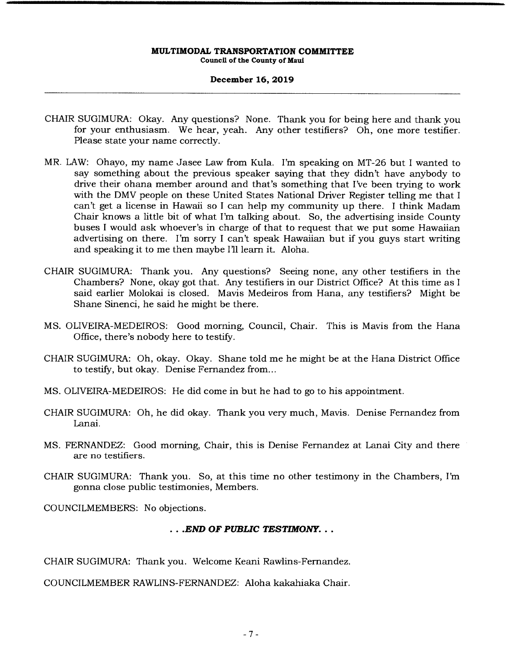**December 16, 2019** 

- CHAIR SUGIMURA: Okay. Any questions? None. Thank you for being here and thank you for your enthusiasm. We hear, yeah. Any other testifiers? Oh, one more testifier. Please state your name correctly.
- MR. LAW: Ohayo, my name Jasee Law from Kula. I'm speaking on MT-26 but I wanted to say something about the previous speaker saying that they didn't have anybody to drive their ohana member around and that's something that I've been trying to work with the DMV people on these United States National Driver Register telling me that I can't get a license in Hawaii so I can help my community up there. I think Madam Chair knows a little bit of what I'm talking about. So, the advertising inside County buses I would ask whoever's in charge of that to request that we put some Hawaiian advertising on there. I'm sorry I can't speak Hawaiian but if you guys start writing and speaking it to me then maybe I'll learn it. Aloha.
- CHAIR SUGIMURA: Thank you. Any questions? Seeing none, any other testifiers in the Chambers? None, okay got that. Any testifiers in our District Office? At this time as I said earlier Molokai is closed. Mavis Medeiros from Hana, any testifiers? Might be Shane Sinenci, he said he might be there.
- MS. OLIVEIRA-MEDEIROS: Good morning, Council, Chair. This is Mavis from the Hana Office, there's nobody here to testify.
- CHAIR SUGIMURA: Oh, okay. Okay. Shane told me he might be at the Hana District Office to testify, but okay. Denise Fernandez from...
- MS. OLIVEIRA-MEDEIROS: He did come in but he had to go to his appointment.
- CHAIR SUGIMURA: Oh, he did okay. Thank you very much, Mavis. Denise Fernandez from Lanai.
- MS. FERNANDEZ: Good morning, Chair, this is Denise Fernandez at Lanai City and there are no testifiers.
- CHAIR SUGIMURA: Thank you. So, at this time no other testimony in the Chambers, I'm gonna close public testimonies, Members.

COUNCILMEMBERS: No objections.

# **...END OF PUBLIC TESTIMONY...**

CHAIR SUGIMURA: Thank you. Welcome Keani Rawlins-Fernandez.

COUNCILMEMBER RAWLINS-FERNANDEZ: Aloha kakahiaka Chair.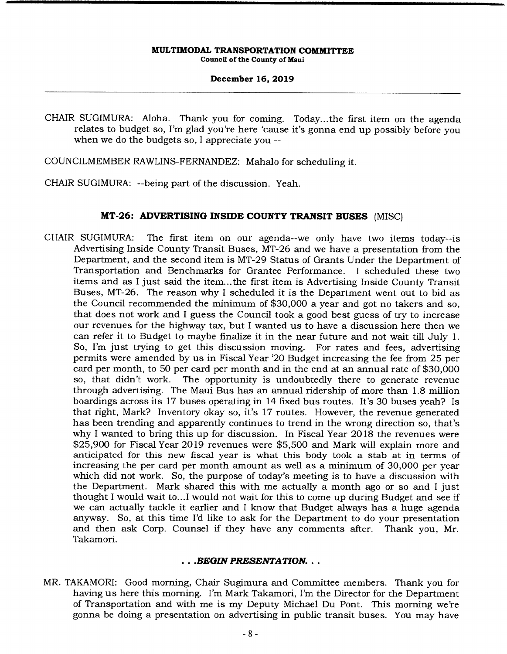# **December 16, 2019**

CHAIR SUGIMURA: Aloha. Thank you for coming. Today... the first item on the agenda relates to budget so, I'm glad you're here 'cause it's gonna end up possibly before you when we do the budgets so, I appreciate you --

COUNCILMEMBER RAWLINS-FERNANDEZ: Mahalo for scheduling it.

CHAIR SUGIMURA: --being part of the discussion. Yeah.

# **MT-26: ADVERTISING INSIDE COUNTY TRANSIT BUSES (MISC)**

CHAIR SUGIMURA: The first item on our agenda--we only have two items today--is Advertising Inside County Transit Buses, MT-26 and we have a presentation from the Department, and the second item is MT-29 Status of Grants Under the Department of Transportation and Benchmarks for Grantee Performance. I scheduled these two items and as I just said the item... the first item is Advertising Inside County Transit Buses, MT-26. The reason why I scheduled it is the Department went out to bid as the Council recommended the minimum of \$30,000 a year and got no takers and so, that does not work and I guess the Council took a good best guess of try to increase our revenues for the highway tax, but I wanted us to have a discussion here then we can refer it to Budget to maybe finalize it in the near future and not wait till July 1. So, I'm just trying to get this discussion moving. For rates and fees, advertising permits were amended by us in Fiscal Year '20 Budget increasing the fee from 25 per card per month, to 50 per card per month and in the end at an annual rate of \$30,000 so, that didn't work. The opportunity is undoubtedly there to generate revenue The opportunity is undoubtedly there to generate revenue through advertising. The Maui Bus has an annual ridership of more than 1.8 million boardings across its 17 buses operating in 14 fixed bus routes. It's 30 buses yeah? Is that right, Mark? Inventory okay so, it's 17 routes. However, the revenue generated has been trending and apparently continues to trend in the wrong direction so, that's why I wanted to bring this up for discussion. In Fiscal Year 2018 the revenues were \$25,900 for Fiscal Year 2019 revenues were \$5,500 and Mark will explain more and anticipated for this new fiscal year is what this body took a stab at in terms of increasing the per card per month amount as well as a minimum of 30,000 per year which did not work. So, the purpose of today's meeting is to have a discussion with the Department. Mark shared this with me actually a month ago or so and I just thought I would wait to... I would not wait for this to come up during Budget and see if we can actually tackle it earlier and I know that Budget always has a huge agenda anyway. So, at this time I'd like to ask for the Department to do your presentation and then ask Corp. Counsel if they have any comments after. Thank you, Mr. Takamori.

# *• .BEGIN PRESENTATION.*

MR. TAKAMORI: Good morning, Chair Sugimura and Committee members. Thank you for having us here this morning. I'm Mark Takamori, I'm the Director for the Department of Transportation and with me is my Deputy Michael Du Pont. This morning we're gonna be doing a presentation on advertising in public transit buses. You may have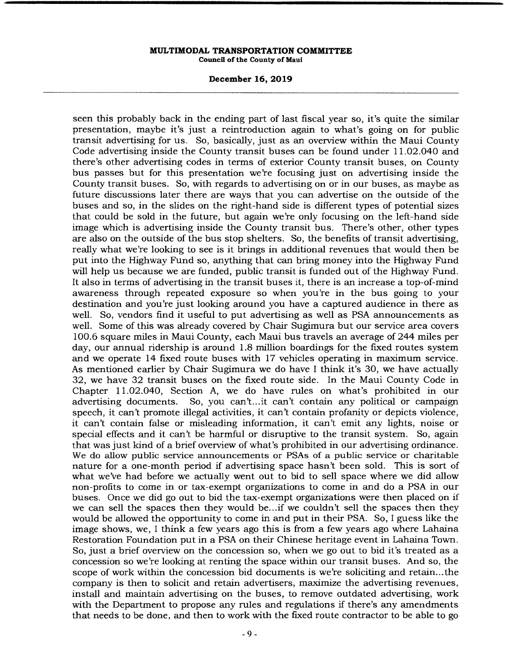#### **December 16, 2019**

seen this probably back in the ending part of last fiscal year so, it's quite the similar presentation, maybe it's just a reintroduction again to what's going on for public transit advertising for us. So, basically, just as an overview within the Maui County Code advertising inside the County transit buses can be found under 11.02.040 and there's other advertising codes in terms of exterior County transit buses, on County bus passes but for this presentation we're focusing just on advertising inside the County transit buses. So, with regards to advertising on or in our buses, as maybe as future discussions later there are ways that you can advertise on the outside of the buses and so, in the slides on the right-hand side is different types of potential sizes that could be sold in the future, but again we're only focusing on the left-hand side image which is advertising inside the County transit bus. There's other, other types are also on the outside of the bus stop shelters. So, the benefits of transit advertising, really what we're looking to see is it brings in additional revenues that would then be put into the Highway Fund so, anything that can bring money into the Highway Fund will help us because we are funded, public transit is funded out of the Highway Fund. It also in terms of advertising in the transit buses it, there is an increase a top-of-mind awareness through repeated exposure so when you're in the bus going to your destination and you're just looking around you have a captured audience in there as well. So, vendors find it useful to put advertising as well as PSA announcements as well. Some of this was already covered by Chair Sugimura but our service area covers 100.6 square miles in Maui County, each Maui bus travels an average of 244 miles per day, our annual ridership is around 1.8 million boardings for the fixed routes system and we operate 14 fixed route buses with 17 vehicles operating in maximum service. As mentioned earlier by Chair Sugimura we do have I think it's 30, we have actually 32, we have 32 transit buses on the fixed route side. In the Maui County Code in Chapter 11.02.040, Section A, we do have rules on what's prohibited in our advertising documents. So, you can't...it can't contain any political or campaign speech, it can't promote illegal activities, it can't contain profanity or depicts violence, it can't contain false or misleading information, it can't emit any lights, noise or special effects and it can't be harmful or disruptive to the transit system. So, again that was just kind of a brief overview of what's prohibited in our advertising ordinance. We do allow public service announcements or PSAs of a public service or charitable nature for a one-month period if advertising space hasn't been sold. This is sort of what we've had before we actually went out to bid to sell space where we did allow non-profits to come in or tax-exempt organizations to come in and do a PSA in our buses. Once we did go out to bid the tax-exempt organizations were then placed on if we can sell the spaces then they would be.. .if we couldn't sell the spaces then they would be allowed the opportunity to come in and put in their PSA. So, I guess like the image shows, we, I think a few years ago this is from a few years ago where Lahaina Restoration Foundation put in a PSA on their Chinese heritage event in Lahaina Town. So, just a brief overview on the concession so, when we go out to bid it's treated as a concession so we're looking at renting the space within our transit buses. And so, the scope of work within the concession bid documents is we're soliciting and retain.., the company is then to solicit and retain advertisers, maximize the advertising revenues, install and maintain advertising on the buses, to remove outdated advertising, work with the Department to propose any rules and regulations if there's any amendments that needs to be done, and then to work with the fixed route contractor to be able to go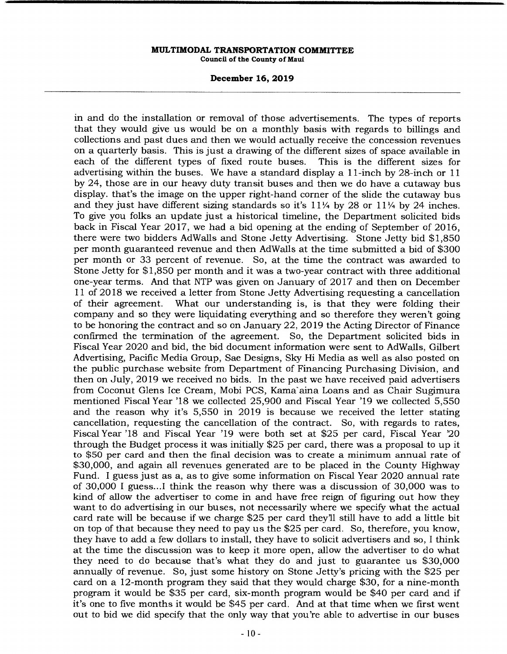**December 16, 2019** 

in and do the installation or removal of those advertisements. The types of reports that they would give us would be on a monthly basis with regards to billings and collections and past dues and then we would actually receive the concession revenues on a quarterly basis. This is just a drawing of the different sizes of space available in each of the different types of fixed route buses. This is the different sizes for advertising within the buses. We have a standard display a 11-inch by 28-inch or 11 by 24, those are in our heavy duty transit buses and then we do have a cutaway bus display. that's the image on the upper right-hand corner of the slide the cutaway bus and they just have different sizing standards so it's  $11\frac{1}{4}$  by 28 or  $11\frac{1}{4}$  by 24 inches. To give you folks an update just a historical timeline, the Department solicited bids back in Fiscal Year 2017, we had a bid opening at the ending of September of 2016, there were two bidders AdWalls and Stone Jetty Advertising. Stone Jetty bid \$1,850 per month guaranteed revenue and then AdWalls at the time submitted a bid of \$300 per month or 33 percent of revenue. So, at the time the contract was awarded to Stone Jetty for \$1,850 per month and it was a two-year contract with three additional one-year terms. And that NTP was given on January of 2017 and then on December 11 of 2018 we received a letter from Stone Jetty Advertising requesting a cancellation of their agreement. What our understanding is, is that they were folding their company and so they were liquidating everything and so therefore they weren't going to be honoring the contract and so on January 22, 2019 the Acting Director of Finance confirmed the termination of the agreement. So, the Department solicited bids in Fiscal Year 2020 and bid, the bid document information were sent to AdWalls, Gilbert Advertising, Pacific Media Group, Sae Designs, Sky Hi Media as well as also posted on the public purchase website from Department of Financing Purchasing Division, and then on July, 2019 we received no bids. In the past we have received paid advertisers from Coconut Glens Ice Cream, Mobi PCS, Kama'aina Loans and as Chair Sugimura mentioned Fiscal Year '18 we collected 25,900 and Fiscal Year '19 we collected 5,550 and the reason why it's 5,550 in 2019 is because we received the letter stating cancellation, requesting the cancellation of the contract. So, with regards to rates, Fiscal Year '18 and Fiscal Year '19 were both set at \$25 per card, Fiscal Year '20 through the Budget process it was initially \$25 per card, there was a proposal to up it to \$50 per card and then the final decision was to create a minimum annual rate of \$30,000, and again all revenues generated are to be placed in the County Highway Fund. I guess just as a, as to give some information on Fiscal Year 2020 annual rate of 30,000 I guess... I think the reason why there was a discussion of 30,000 was to kind of allow the advertiser to come in and have free reign of figuring out how they want to do advertising in our buses, not necessarily where we specify what the actual card rate will be because if we charge \$25 per card they'll still have to add a little bit on top of that because they need to pay us the \$25 per card. So, therefore, you know, they have to add a few dollars to install, they have to solicit advertisers and so, I think at the time the discussion was to keep it more open, allow the advertiser to do what they need to do because that's what they do and just to guarantee us \$30,000 annually of revenue. So, just some history on Stone Jetty's pricing with the \$25 per card on a 12-month program they said that they would charge \$30, for a nine-month program it would be \$35 per card, six-month program would be \$40 per card and if it's one to five months it would be \$45 per card. And at that time when we first went out to bid we did specify that the only way that you're able to advertise in our buses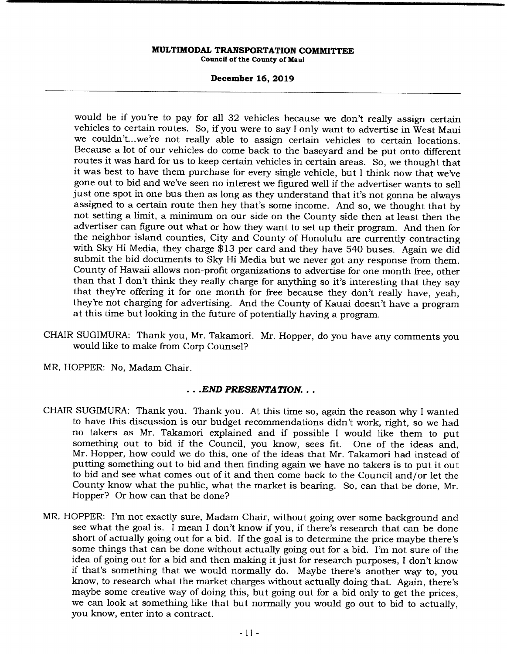#### **December 16, 2019**

would be if you're to pay for all 32 vehicles because we don't really assign certain vehicles to certain routes. So, if you were to say I only want to advertise in West Maui we couldn't.. .we're not really able to assign certain vehicles to certain locations. Because a lot of our vehicles do come back to the baseyard and be put onto different routes it was hard for us to keep certain vehicles in certain areas. So, we thought that it was best to have them purchase for every single vehicle, but I think now that we've gone out to bid and we've seen no interest we figured well if the advertiser wants to sell just one spot in one bus then as long as they understand that it's not gonna be always assigned to a certain route then hey that's some income. And so, we thought that by not setting a limit, a minimum on our side on the County side then at least then the advertiser can figure out what or how they want to set up their program. And then for the neighbor island counties, City and County of Honolulu are currently contracting with Sky Hi Media, they charge \$13 per card and they have 540 buses. Again we did submit the bid documents to Sky Hi Media but we never got any response from them. County of Hawaii allows non-profit organizations to advertise for one month free, other than that I don't think they really charge for anything so it's interesting that they say that they're offering it for one month for free because they don't really have, yeah, they're not charging for advertising. And the County of Kauai doesn't have a program at this time but looking in the future of potentially having a program.

- CHAIR SUGIMURA: Thank you, Mr. Takamori. Mr. Hopper, do you have any comments you would like to make from Corp Counsel?
- MR. HOPPER: No, Madam Chair.

# *.END PRESENTATION...*

- CHAIR SUGIMURA: Thank you. Thank you. At this time so, again the reason why I wanted to have this discussion is our budget recommendations didn't work, right, so we had no takers as Mr. Takamori explained and if possible I would like them to put something out to bid if the Council, you know, sees fit. One of the ideas and, Mr. Hopper, how could we do this, one of the ideas that Mr. Takamori had instead of putting something out to bid and then finding again we have no takers is to put it out to bid and see what comes out of it and then come back to the Council and/or let the County know what the public, what the market is bearing. So, can that be done, Mr. Hopper? Or how can that be done?
- MR. HOPPER: I'm not exactly sure, Madam Chair, without going over some background and see what the goal is. I mean I don't know if you, if there's research that can be done short of actually going out for a bid. If the goal is to determine the price maybe there's some things that can be done without actually going out for a bid. I'm not sure of the idea of going out for a bid and then making it just for research purposes, I don't know if that's something that we would normally do. Maybe there's another way to, you know, to research what the market charges without actually doing that. Again, there's maybe some creative way of doing this, but going out for a bid only to get the prices, we can look at something like that but normally you would go out to bid to actually, you know, enter into a contract.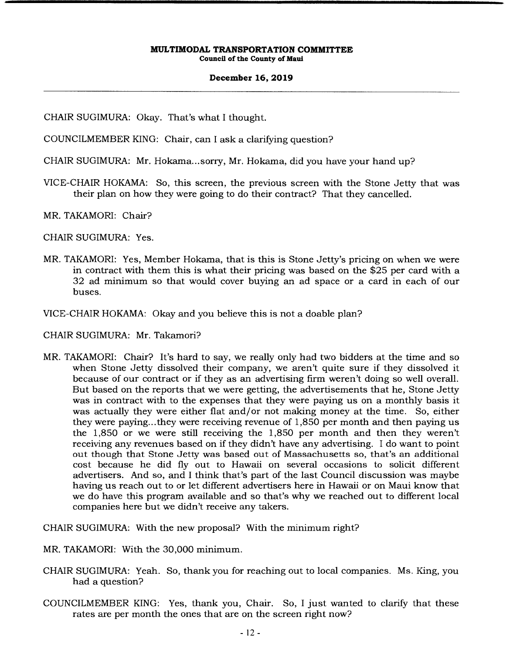## **December 16, 2019**

CHAIR SUGIMURA: Okay. That's what I thought.

COUNCILMEMBER KING: Chair, can I ask a clarifying question?

CHAIR SUGIMURA: Mr. Hokama... sorry, Mr. Hokama, did you have your hand up?

VICE-CHAIR HOKAMA: So, this screen, the previous screen with the Stone Jetty that was their plan on how they were going to do their contract? That they cancelled.

MR. TAKAMORI: Chair?

CHAIR SUGIMURA: Yes.

MR. TAKAMORI: Yes, Member Hokama, that is this is Stone Jetty's pricing on when we were in contract with them this is what their pricing was based on the \$25 per card with a 32 ad minimum so that would cover buying an ad space or a card in each of our buses.

VICE-CHAIR HOKAMA: Okay and you believe this is not a doable plan?

CHAIR SUGIMURA: Mr. Takamori?

MR. TAKAMORI: Chair? It's hard to say, we really only had two bidders at the time and so when Stone Jetty dissolved their company, we aren't quite sure if they dissolved it because of our contract or if they as an advertising firm weren't doing so well overall. But based on the reports that we were getting, the advertisements that he, Stone Jetty was in contract with to the expenses that they were paying us on a monthly basis it was actually they were either flat and/or not making money at the time. So, either they were paying.. .they were receiving revenue of 1,850 per month and then paying us the 1,850 or we were still receiving the 1,850 per month and then they weren't receiving any revenues based on if they didn't have any advertising. I do want to point out though that Stone Jetty was based out of Massachusetts so, that's an additional cost because he did fly out to Hawaii on several occasions to solicit different advertisers. And so, and I think that's part of the last Council discussion was maybe having us reach out to or let different advertisers here in Hawaii or on Maui know that we do have this program available and so that's why we reached out to different local companies here but we didn't receive any takers.

CHAIR SUGIMURA: With the new proposal? With the minimum right?

- MR. TAKAMORI: With the 30,000 minimum.
- CHAIR SUGIMURA: Yeah. So, thank you for reaching out to local companies. Ms. King, you had a question?
- COUNCILMEMBER KING: Yes, thank you, Chair. So, I just wanted to clarify that these rates are per month the ones that are on the screen right now?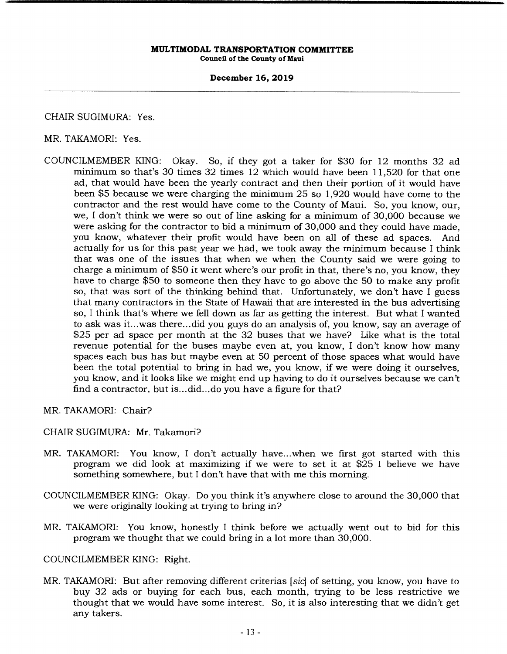# **December 16, 2019**

CHAIR SUGIMURA: Yes.

MR. TAKAMORI: Yes.

- COUNCILMEMBER KING: Okay. So, if they got a taker for \$30 for 12 months 32 ad minimum so that's 30 times 32 times 12 which would have been 11,520 for that one ad, that would have been the yearly contract and then their portion of it would have been \$5 because we were charging the minimum 25 so 1,920 would have come to the contractor and the rest would have come to the County of Maui. So, you know, our, we, I don't think we were so out of line asking for a minimum of 30,000 because we were asking for the contractor to bid a minimum of 30,000 and they could have made, you know, whatever their profit would have been on all of these ad spaces. actually for us for this past year we had, we took away the minimum because I think that was one of the issues that when we when the County said we were going to charge a minimum of \$50 it went where's our profit in that, there's no, you know, they have to charge \$50 to someone then they have to go above the 50 to make any profit so, that was sort of the thinking behind that. Unfortunately, we don't have I guess that many contractors in the State of Hawaii that are interested in the bus advertising so, I think that's where we fell down as far as getting the interest. But what I wanted to ask was it.. .was there... did you guys do an analysis of, you know, say an average of \$25 per ad space per month at the 32 buses that we have? Like what is the total revenue potential for the buses maybe even at, you know, I don't know how many spaces each bus has but maybe even at 50 percent of those spaces what would have been the total potential to bring in had we, you know, if we were doing it ourselves, you know, and it looks like we might end up having to do it ourselves because we can't find a contractor, but is... did... do you have a figure for that?
- MR. TAKAMORI: Chair?

# CHAIR SUGIMURA: Mr. Takamori?

- MR. TAKAMORI: You know, I don't actually have.. .when we first got started with this program we did look at maximizing if we were to set it at \$25 I believe we have something somewhere, but I don't have that with me this morning.
- COUNCILMEMBER KING: Okay. Do you think it's anywhere close to around the 30,000 that we were originally looking at trying to bring in?
- MR. TAKAMORI: You know, honestly I think before we actually went out to bid for this program we thought that we could bring in a lot more than 30,000.

# COUNCILMEMBER KING: Right.

MR. TAKAMORI: But after removing different criterias [sic] of setting, you know, you have to buy 32 ads or buying for each bus, each month, trying to be less restrictive we thought that we would have some interest. So, it is also interesting that we didn't get any takers.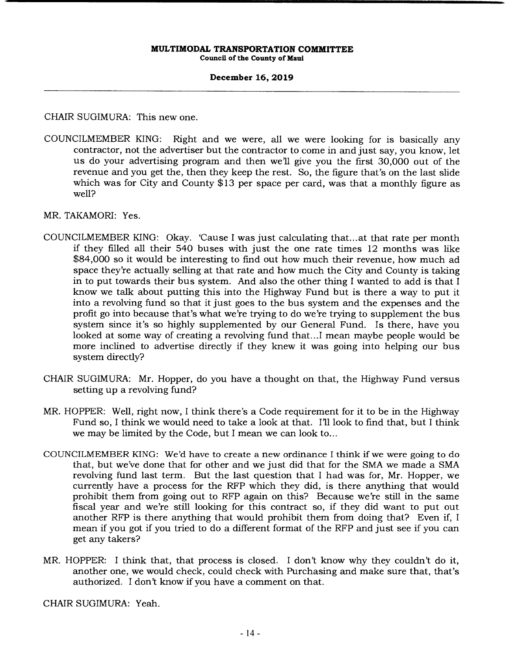# **December 16, 2019**

CHAIR SUGIMURA: This new one.

COUNCILMEMBER KING: Right and we were, all we were looking for is basically any contractor, not the advertiser but the contractor to come in and just say, you know, let us do your advertising program and then well give you the first 30,000 out of the revenue and you get the, then they keep the rest. So, the figure that's on the last slide which was for City and County \$13 per space per card, was that a monthly figure as well?

MR. TAKAMORI: Yes.

- COUNCILMEMBER KING: Okay. 'Cause I was just calculating that... at that rate per month if they filled all their 540 buses with just the one rate times 12 months was like \$84,000 so it would be interesting to find out how much their revenue, how much ad space they're actually selling at that rate and how much the City and County is taking in to put towards their bus system. And also the other thing I wanted to add is that I know we talk about putting this into the Highway Fund but is there a way to put it into a revolving fund so that it just goes to the bus system and the expenses and the profit go into because that's what we're trying to do we're trying to supplement the bus system since it's so highly supplemented by our General Fund. Is there, have you looked at some way of creating a revolving fund that... I mean maybe people would be more inclined to advertise directly if they knew it was going into helping our bus system directly?
- CHAIR SUGIMURA: Mr. Hopper, do you have a thought on that, the Highway Fund versus setting up a revolving fund?
- MR. HOPPER: Well, right now, I think there's a Code requirement for it to be in the Highway Fund so, I think we would need to take a look at that. I'll look to find that, but I think we may be limited by the Code, but I mean we can look to...
- COUNCILMEMBER KING: We'd have to create a new ordinance I think if we were going to do that, but we've done that for other and we just did that for the SMA we made a SMA revolving fund last term. But the last question that I had was for, Mr. Hopper, we currently have a process for the RFP which they did, is there anything that would prohibit them from going out to RFP again on this? Because we're still in the same fiscal year and we're still looking for this contract so, if they did want to put out another RFP is there anything that would prohibit them from doing that? Even if, I mean if you got if you tried to do a different format of the RFP and just see if you can get any takers?
- MR. HOPPER: I think that, that process is closed. I don't know why they couldn't do it, another one, we would check, could check with Purchasing and make sure that, that's authorized. I don't know if you have a comment on that.

CHAIR SUGIMURA: Yeah.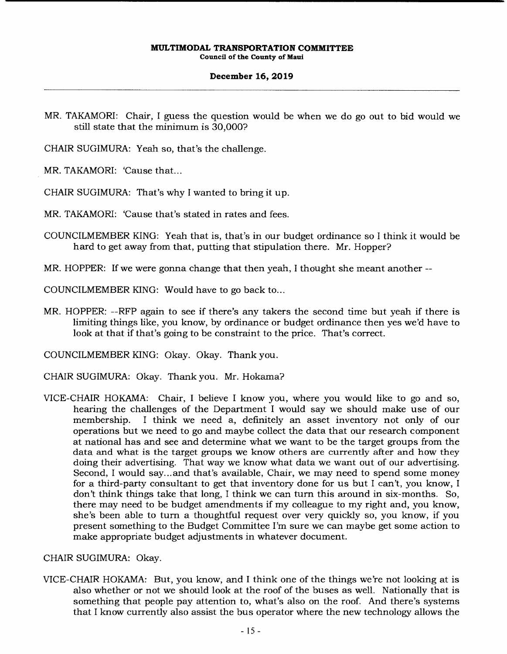# **December 16, 2019**

MR. TAKAMORI: Chair, I guess the question would be when we do go out to bid would we still state that the minimum is 30,000?

CHAIR SUGIMURA: Yeah so, that's the challenge.

MR. TAKAMORI: 'Cause that...

CHAIR SUGIMURA: That's why I wanted to bring it up.

MR. TAKAMORI: 'Cause that's stated in rates and fees.

COUNCILMEMBER KING: Yeah that is, that's in our budget ordinance so I think it would be hard to get away from that, putting that stipulation there. Mr. Hopper?

MR. HOPPER: If we were gonna change that then yeah, I thought she meant another --

COUNCILMEMBER KING: Would have to go back to...

MR. HOPPER: --RFP again to see if there's any takers the second time but yeah if there is limiting things like, you know, by ordinance or budget ordinance then yes we'd have to look at that if that's going to be constraint to the price. That's correct.

COUNCILMEMBER KING: Okay. Okay. Thank you.

CHAIR SUGIMURA: Okay. Thank you. Mr. Hokama?

VICE-CHAIR HOKAMA: Chair, I believe I know you, where you would like to go and so, hearing the challenges of the Department I would say we should make use of our membership. I think we need a, definitely an asset inventory not only of our operations but we need to go and maybe collect the data that our research component at national has and see and determine what we want to be the target groups from the data and what is the target groups we know others are currently after and how they doing their advertising. That way we know what data we want out of our advertising. Second, I would say...and that's available, Chair, we may need to spend some money for a third-party consultant to get that inventory done for us but I can't, you know, I don't think things take that long, I think we can turn this around in six-months. So, there may need to be budget amendments if my colleague to my right and, you know, she's been able to turn a thoughtful request over very quickly so, you know, if you present something to the Budget Committee I'm sure we can maybe get some action to make appropriate budget adjustments in whatever document.

CHAIR SUGIMURA: Okay.

VICE-CHAIR HOKAMA: But, you know, and I think one of the things we're not looking at is also whether or not we should look at the roof of the buses as well. Nationally that is something that people pay attention to, what's also on the roof. And there's systems that I know currently also assist the bus operator where the new technology allows the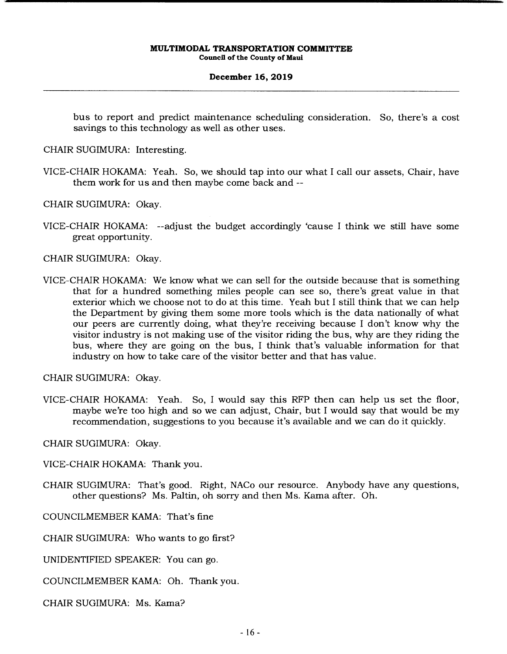**December 16, 2019** 

bus to report and predict maintenance scheduling consideration. So, there's a cost savings to this technology as well as other uses.

CHAIR SUGIMURA: Interesting.

VICE-CHAIR HOKAMA: Yeah. So, we should tap into our what I call our assets, Chair, have them work for us and then maybe come back and --

CHAIR SUGIMURA: Okay.

VICE-CHAIR HOKAMA: --adjust the budget accordingly 'cause I think we still have some great opportunity.

CHAIR SUGIMURA: Okay.

VICE-CHAIR HOKAMA: We know what we can sell for the outside because that is something that for a hundred something miles people can see so, there's great value in that exterior which we choose not to do at this time. Yeah but I still think that we can help the Department by giving them some more tools which is the data nationally of what our peers are currently doing, what they're receiving because I don't know why the visitor industry is not making use of the visitor riding the bus, why are they riding the bus, where they are going on the bus, I think that's valuable information for that industry on how to take care of the visitor better and that has value.

CHAIR SUGIMURA: Okay.

VICE-CHAIR HOKAMA: Yeah. So, I would say this RFP then can help us set the floor, maybe we're too high and so we can adjust, Chair, but I would say that would be my recommendation, suggestions to you because it's available and we can do it quickly.

CHAIR SUGIMURA: Okay.

VICE-CHAIR HOKAMA: Thank you.

CHAIR SUGIMURA: That's good. Right, NACo our resource. Anybody have any questions, other questions? Ms. Paltin, oh sorry and then Ms. Kama after. Oh.

COUNCILMEMBER KAMA: That's fine

CHAIR SUGIMURA: Who wants to go first?

UNIDENTIFIED SPEAKER: You can go.

COUNCILMEMBER KAMA: Oh. Thank you.

CHAIR SUGIMURA: Ms. Kama?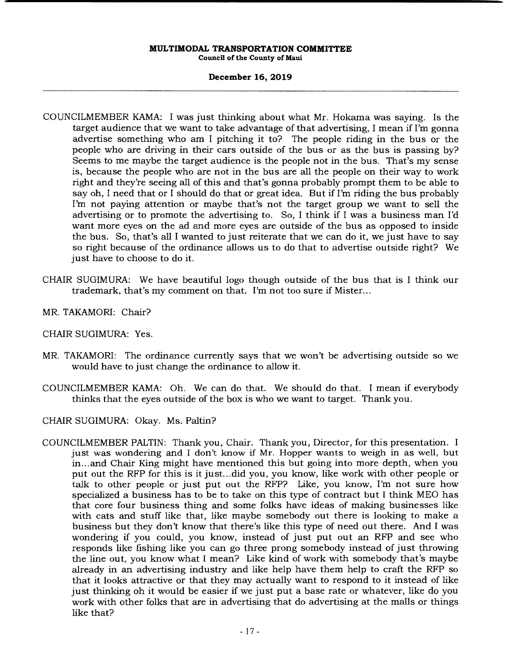# **December 16, 2019**

- COUNCILMEMBER KAMA: I was just thinking about what Mr. Hokama was saying. Is the target audience that we want to take advantage of that advertising, I mean if I'm gonna advertise something who am I pitching it to? The people riding in the bus or the people who are driving in their cars outside of the bus or as the bus is passing by? Seems to me maybe the target audience is the people not in the bus. That's my sense is, because the people who are not in the bus are all the people on their way to work right and they're seeing all of this and that's gonna probably prompt them to be able to say oh, I need that or I should do that or great idea. But if I'm riding the bus probably I'm not paying attention or maybe that's not the target group we want to sell the advertising or to promote the advertising to. So, I think if I was a business man I'd want more eyes on the ad and more eyes are outside of the bus as opposed to inside the bus. So, that's all I wanted to just reiterate that we can do it, we just have to say so right because of the ordinance allows us to do that to advertise outside right? We just have to choose to do it.
- CHAIR SUGIMURA: We have beautiful logo though outside of the bus that is I think our trademark, that's my comment on that. I'm not too sure if Mister...
- MR. TAKAMORI: Chair?
- CHAIR SUGIMURA: Yes.
- MR. TAKAMORI: The ordinance currently says that we won't be advertising outside so we would have to just change the ordinance to allow it.
- COUNCILMEMBER KAMA: Oh. We can do that. We should do that. I mean if everybody thinks that the eyes outside of the box is who we want to target. Thank you.
- CHAIR SUGIMURA: Okay. Ms. Paltin?
- COUNCILMEMBER PALTIN: Thank you, Chair. Thank you, Director, for this presentation. I just was wondering and I don't know if Mr. Hopper wants to weigh in as well, but in.. .and Chair King might have mentioned this but going into more depth, when you put out the RFP for this is it just... did you, you know, like work with other people or talk to other people or just put out the RFP? Like, you know, I'm not sure how specialized a business has to be to take on this type of contract but I think MEO has that core four business thing and some folks have ideas of making businesses like with cats and stuff like that, like maybe somebody out there is looking to make a business but they don't know that there's like this type of need out there. And I was wondering if you could, you know, instead of just put out an RFP and see who responds like fishing like you can go three prong somebody instead of just throwing the line out, you know what I mean? Like kind of work with somebody that's maybe already in an advertising industry and like help have them help to craft the RFP so that it looks attractive or that they may actually want to respond to it instead of like just thinking oh it would be easier if we just put a base rate or whatever, like do you work with other folks that are in advertising that do advertising at the malls or things like that?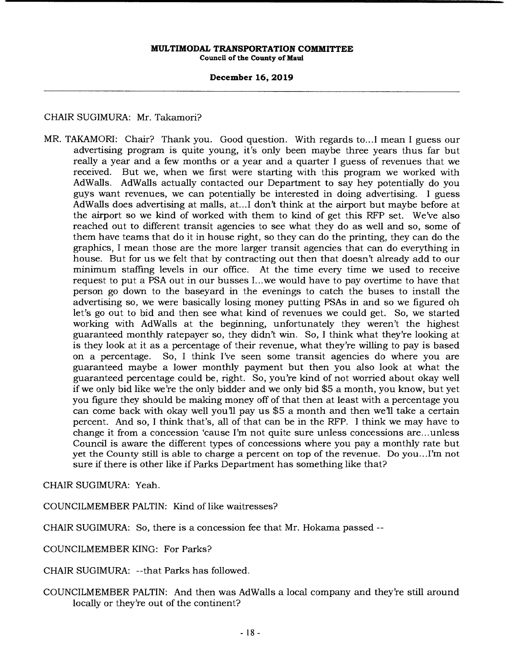# **December 16, 2019**

# CHAIR SUGIMURA: Mr. Takamori?

MR. TAKAMORI: Chair? Thank you. Good question. With regards to... I mean I guess our advertising program is quite young, it's only been maybe three years thus far but really a year and a few months or a year and a quarter I guess of revenues that we received. But we, when we first were starting with this program we worked with AdWalls. AdWalls actually contacted our Department to say hey potentially do you guys want revenues, we can potentially be interested in doing advertising. I guess AdWalls does advertising at malls, at... I don't think at the airport but maybe before at the airport so we kind of worked with them to kind of get this RFP set. We've also reached out to different transit agencies to see what they do as well and so, some of them have teams that do it in house right, so they can do the printing, they can do the graphics, I mean those are the more larger transit agencies that can do everything in house. But for us we felt that by contracting out then that doesn't already add to our minimum staffing levels in our office. At the time every time we used to receive request to put a PSA out in our busses I... we would have to pay overtime to have that person go down to the baseyard in the evenings to catch the buses to install the advertising so, we were basically losing money putting PSAs in and so we figured oh let's go out to bid and then see what kind of revenues we could get. So, we started working with AdWalls at the beginning, unfortunately they weren't the highest guaranteed monthly ratepayer so, they didn't win. So, I think what they're looking at is they look at it as a percentage of their revenue, what they're willing to pay is based on a percentage. So, I think I've seen some transit agencies do where you are guaranteed maybe a lower monthly payment but then you also look at what the guaranteed percentage could be, right. So, you're kind of not worried about okay well if we only bid like we're the only bidder and we only bid \$5 a month, you know, but yet you figure they should be making money off of that then at least with a percentage you can come back with okay well you'll pay us *\$5* a month and then well take a certain percent. And so, I think that's, all of that can be in the RFP. I think we may have to change it from a concession 'cause I'm not quite sure unless concessions are.. .unless Council is aware the different types of concessions where you pay a monthly rate but yet the County still is able to charge a percent on top of the revenue. Do you.. .I'm not sure if there is other like if Parks Department has something like that?

CHAIR SUGIMURA: Yeah.

COUNCILMEMBER PALTIN: Kind of like waitresses?

CHAIR SUGIMURA: So, there is a concession fee that Mr. Hokama passed --

COUNCILMEMBER KING: For Parks?

CHAIR SUGIMURA: --that Parks has followed.

COUNCILMEMBER PALTIN: And then was AdWalls a local company and they're still around locally or they're out of the continent?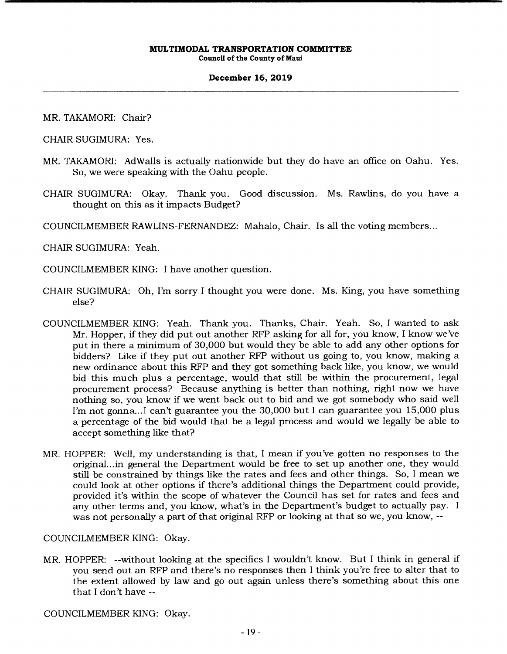### **December 16, 2019**

# MR. TAKAMORI: Chair?

CHAIR SUGIMURA: Yes.

- MR. TAKAMORI: AdWalls is actually nationwide but they do have an office on Oahu. Yes. So, we were speaking with the Oahu people.
- CHAIR SUGIMURA: Okay. Thank you. Good discussion. Ms. Rawlins, do you have a thought on this as it impacts Budget?

COUNCILMEMBER RAWLINS-FERNANDEZ: Mahalo, Chair. Is all the voting members...

CHAIR SUGIMURA: Yeah.

- COUNCILMEMBER KING: I have another question.
- CHAIR SUGIMURA: Oh, I'm sorry I thought you were done. Ms. King, you have something else?
- COUNCILMEMBER KING: Yeah. Thank you. Thanks, Chair. Yeah. So, I wanted to ask Mr. Hopper, if they did put out another RFP asking for all for, you know, I know we've put in there a minimum of 30,000 but would they be able to add any other options for bidders? Like if they put out another RFP without us going to, you know, making a new ordinance about this RFP and they got something back like, you know, we would bid this much plus a percentage, would that still be within the procurement, legal procurement process? Because anything is better than nothing, right now we have nothing so, you know if we went back out to bid and we got somebody who said well I'm not gonna...I can't guarantee you the 30,000 but I can guarantee you 15,000 plus a percentage of the bid would that be a legal process and would we legally be able to accept something like that?
- MR. HOPPER: Well, my understanding is that, I mean if you've gotten no responses to the original.. .in general the Department would be free to set up another one, they would still be constrained by things like the rates and fees and other things. So, I mean we could look at other options if there's additional things the Department could provide, provided it's within the scope of whatever the Council has set for rates and fees and any other terms and, you know, what's in the Department's budget to actually pay. I was not personally a part of that original RFP or looking at that so we, you know, --

# COUNCILMEMBER KING: Okay.

MR. HOPPER: --without looking at the specifics I wouldn't know. But I think in general if you send out an RFP and there's no responses then I think you're free to alter that to the extent allowed by law and go out again unless there's something about this one that I don't have --

COUNCILMEMBER KING: Okay.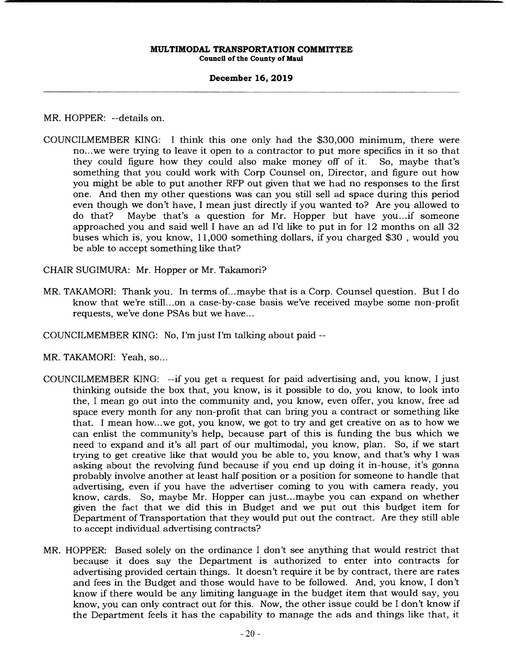# **December 16, 2019**

MR. HOPPER: --details on.

COUNCILMEMBER KING: I think this one only had the \$30,000 minimum, there were no.. .we were trying to leave it open to a contractor to put more specifics in it so that they could figure how they could also make money off of it. So, maybe that's something that you could work with Corp Counsel on, Director, and figure out how you might be able to put another RFP out given that we had no responses to the first one. And then my other questions was can you still sell ad space during this period even though we don't have, I mean just directly if you wanted to? Are you allowed to do that? Maybe that's a question for Mr. Hopper but have you.. .if someone approached you and said well I have an ad I'd like to put in for 12 months on all 32 buses which is, you know, 11,000 something dollars, if you charged \$30 , would you be able to accept something like that?

CHAIR SUGIMURA: Mr. Hopper or Mr. Takamori?

- MR. TAKAMORI: Thank you. In terms of...maybe that is a Corp. Counsel question. But I do know that we're still... on a case-by-case basis we've received maybe some non-profit requests, we've done PSAs but we have...
- COUNCILMEMBER KING: No, I'm just I'm talking about paid

MR. TAKAMORI: Yeah, so...

- COUNCILMEMBER KING: --if you get a request for paid advertising and, you know, I just thinking outside the box that, you know, is it possible to do, you know, to look into the, I mean go out into the community and, you know, even offer, you know, free ad space every month for any non-profit that can bring you a contract or something like that. I mean how... we got, you know, we got to try and get creative on as to how we can enlist the community's help, because part of this is funding the bus which we need to expand and it's all part of our multimodal, you know, plan. So, if we start trying to get creative like that would you be able to, you know, and that's why I was asking about the revolving fund because if you end up doing it in-house, it's gonna probably involve another at least half position or a position for someone to handle that advertising, even if you have the advertiser coming to you with camera ready, you know, cards. So, maybe Mr. Hopper can just.. .maybe you can expand on whether given the fact that we did this in Budget and we put out this budget item for Department of Transportation that they would put out the contract. Are they still able to accept individual advertising contracts?
- MR. HOPPER: Based solely on the ordinance I don't see anything that would restrict that because it does say the Department is authorized to enter into contracts for advertising provided certain things. It doesn't require it be by contract, there are rates and fees in the Budget and those would have to be followed. And, you know, I don't know if there would be any limiting language in the budget item that would say, you know, you can only contract out for this. Now, the other issue could be I don't know if the Department feels it has the capability to manage the ads and things like that, it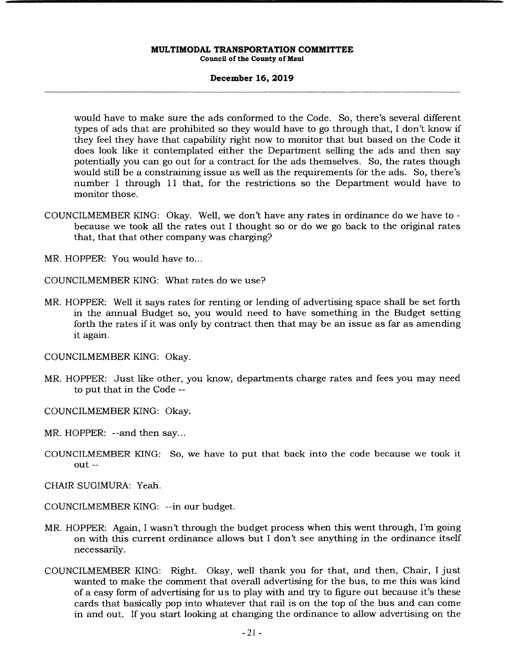# **December 16, 2019**

would have to make sure the ads conformed to the Code. So, there's several different types of ads that are prohibited so they would have to go through that, I don't know if they feel they have that capability right now to monitor that but based on the Code it does look like it contemplated either the Department selling the ads and then say potentially you can go out for a contract for the ads themselves. So, the rates though would still be a constraining issue as well as the requirements for the ads. So, there's number 1 through 11 that, for the restrictions so the Department would have to monitor those.

COUNCILMEMBER KING: Okay. Well, we don't have any rates in ordinance do we have to because we took all the rates out I thought so or do we go back to the original rates that, that that other company was charging?

MR. HOPPER: You would have to...

COUNCILMEMBER KING: What rates do we use?

MR. HOPPER: Well it says rates for renting or lending of advertising space shall be set forth in the annual Budget so, you would need to have something in the Budget setting forth the rates if it was only by contract then that may be an issue as far as amending it again.

COUNCILMEMBER KING: Okay.

- MR. HOPPER: Just like other, you know, departments charge rates and fees you may need to put that in the Code --
- COUNCILMEMBER KING: Okay.
- MR. HOPPER: --and then say...
- COUNCILMEMBER KING: So, we have to put that back into the code because we took it out --

CHAIR SUGIMURA: Yeah.

- COUNCILMEMBER KING: --in our budget.
- MR. HOPPER: Again, I wasn't through the budget process when this went through, I'm going on with this current ordinance allows but I don't see anything in the ordinance itself necessarily.
- COUNCILMEMBER KING: Right. Okay, well thank you for that, and then, Chair, I just wanted to make the comment that overall advertising for the bus, to me this was kind of a easy form of advertising for us to play with and try to figure out because it's these cards that basically pop into whatever that rail is on the top of the bus and can come in and out. If you start looking at changing the ordinance to allow advertising on the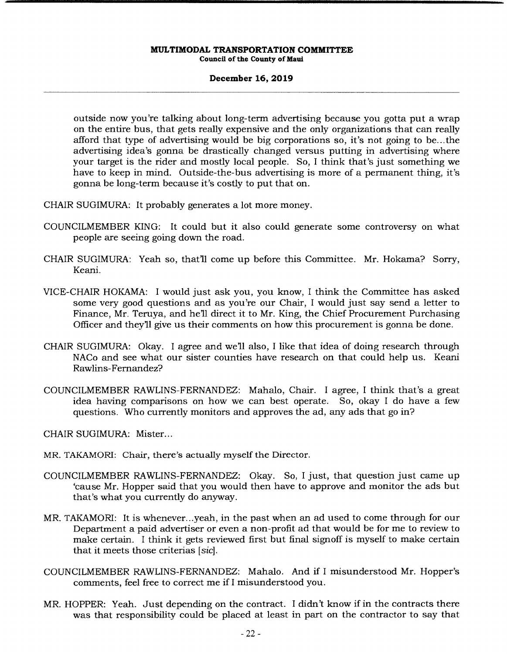### **December 16, 2019**

outside now you're talking about long-term advertising because you gotta put a wrap on the entire bus, that gets really expensive and the only organizations that can really afford that type of advertising would be big corporations so, it's not going to be...the advertising idea's gonna be drastically changed versus putting in advertising where your target is the rider and mostly local people. So, I think that's just something we have to keep in mind. Outside-the-bus advertising is more of a permanent thing, it's gonna be long-term because it's cosily to put that on.

CHAIR SUGIMURA: It probably generates a lot more money.

- COUNCILMEMBER KING: It could but it also could generate some controversy on what people are seeing going down the road.
- CHAIR SUGIMURA: Yeah so, that'll come up before this Committee. Mr. Hokama? Sorry, Keani.
- VICE-CHAIR HOKAMA: I would just ask you, you know, I think the Committee has asked some very good questions and as you're our Chair, I would just say send a letter to Finance, Mr. Teruya, and he'll direct it to Mr. King, the Chief Procurement Purchasing Officer and they'll give us their comments on how this procurement is gonna be done.
- CHAIR SUGIMURA: Okay. I agree and we'll also, I like that idea of doing research through NACo and see what our sister counties have research on that could help us. Keani Rawlins-Fernandez?
- COUNCILMEMBER RAWLINS-FERNANDEZ: Mahalo, Chair. I agree, I think that's a great idea having comparisons on how we can best operate. So, okay I do have a few questions. Who currently monitors and approves the ad, any ads that go in?

CHAIR SUGIMURA: Mister...

- MR. TAKAMORI: Chair, there's actually myself the Director.
- COUNCILMEMBER RAWLINS-FERNANDEZ: Okay. So, I just, that question just came up 'cause Mr. Hopper said that you would then have to approve and monitor the ads but that's what you currently do anyway.
- MR. TAKAMORI: It is whenever.. .yeah, in the past when an ad used to come through for our Department a paid advertiser or even a non-profit ad that would be for me to review to make certain. I think it gets reviewed first but final signoff is myself to make certain that it meets those criterias *[sic].*
- COUNCILMEMBER RAWLINS-FERNANDEZ: Mahalo. And if I misunderstood Mr. Hopper's comments, feel free to correct me if I misunderstood you.
- MR. HOPPER: Yeah. Just depending on the contract. I didn't know if in the contracts there was that responsibility could be placed at least in part on the contractor to say that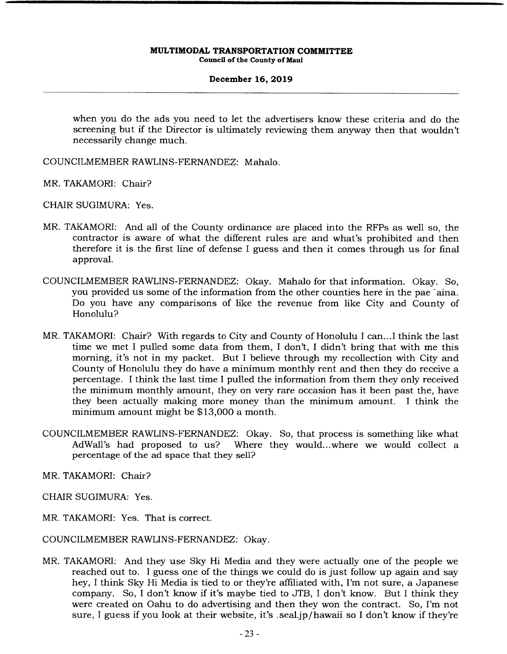**December 16, 2019** 

when you do the ads you need to let the advertisers know these criteria and do the screening but if the Director is ultimately reviewing them anyway then that wouldn't necessarily change much.

COUNCILMEMBER RAWLINS-FERNANDEZ: Mahalo.

MR. TAKAMORI: Chair?

CHAIR SUGIMURA: Yes.

- MR. TAKAMORI: And all of the County ordinance are placed into the RFPs as well so, the contractor is aware of what the different rules are and what's prohibited and then therefore it is the first line of defense I guess and then it comes through us for final approval.
- COUNCILMEMBER RAWLINS-FERNANDEZ: Okay. Mahalo for that information. Okay. So, you provided us some of the information from the other counties here in the pae `aina. Do you have any comparisons of like the revenue from like City and County of Honolulu?
- MR. TAKAMORI: Chair? With regards to City and County of Honolulu I can... I think the last time we met I pulled some data from them, I don't, I didn't bring that with me this morning, it's not in my packet. But I believe through my recollection with City and County of Honolulu they do have a minimum monthly rent and then they do receive a percentage. I think the last time I pulled the information from them they only received the minimum monthly amount, they on very rare occasion has it been past the, have they been actually making more money than the minimum amount. I think the minimum amount might be \$13,000 a month.
- COUNCILMEMBER RAWLINS-FERNANDEZ: Okay. So, that process is something like what AdWall's had proposed to us? Where they would...where we would collect a percentage of the ad space that they sell?
- MR. TAKAMORI: Chair?

CHAIR SUGIMURA: Yes.

- MR. TAKAMORI: Yes. That is correct.
- COUNCILMEMBER RAWLINS-FERNANDEZ: Okay.
- MR. TAKAMORI: And they use Sky Hi Media and they were actually one of the people we reached out to. I guess one of the things we could do is just follow up again and say hey, I think Sky Hi Media is tied to or they're affiliated with, I'm not sure, a Japanese company. So, I don't know if it's maybe tied to JTB, I don't know. But I think they were created on Oahu to do advertising and then they won the contract. So, I'm not sure, I guess if you look at their website, it's .seal.jp/hawaii so I don't know if they're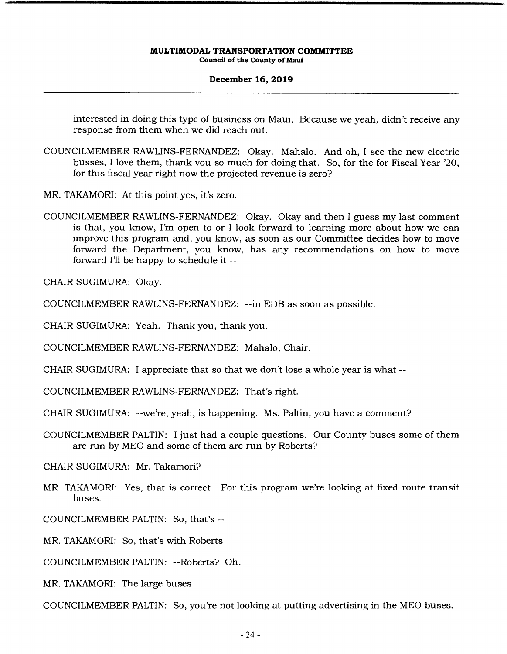# **December 16, 2019**

interested in doing this type of business on Maui. Because we yeah, didn't receive any response from them when we did reach out.

- COUNCILMEMBER RAWLINS-FERNANDEZ: Okay. Mahalo. And oh, I see the new electric busses, I love them, thank you so much for doing that. So, for the for Fiscal Year '20, for this fiscal year right now the projected revenue is zero?
- MR. TAKAMORI: At this point yes, it's zero.
- COUNCILMEMBER RAWLINS-FERNANDEZ: Okay. Okay and then I guess my last comment is that, you know, I'm open to or I look forward to learning more about how we can improve this program and, you know, as soon as our Committee decides how to move forward the Department, you know, has any recommendations on how to move forward I'll be happy to schedule it --

CHAIR SUGIMURA: Okay.

COUNCILMEMBER RAWLINS-FERNANDEZ: --in EDB as soon as possible.

CHAIR SUGIMURA: Yeah. Thank you, thank you.

COUNCILMEMBER RAWLINS-FERNANDEZ: Mahalo, Chair.

CHAIR SUGIMURA: I appreciate that so that we don't lose a whole year is what --

COUNCILMEMBER RAWLINS-FERNANDEZ: That's right.

CHAIR SUGIMURA: --we're, yeah, is happening. Ms. Paltin, you have a comment?

COUNCILMEMBER PALTIN: I just had a couple questions. Our County buses some of them are run by MEO and some of them are run by Roberts?

CHAIR SUGIMURA: Mr. Takamori?

MR. TAKAMORI: Yes, that is correct. For this program we're looking at fixed route transit buses.

COUNCILMEMBER PALTIN: So, that's --

MR. TAKAMORI: So, that's with Roberts

COUNCILMEMBER PALTIN: --Roberts? Oh.

MR. TAKAMORI: The large buses.

COUNCILMEMBER PALTIN: So, you're not looking at putting advertising in the MEO buses.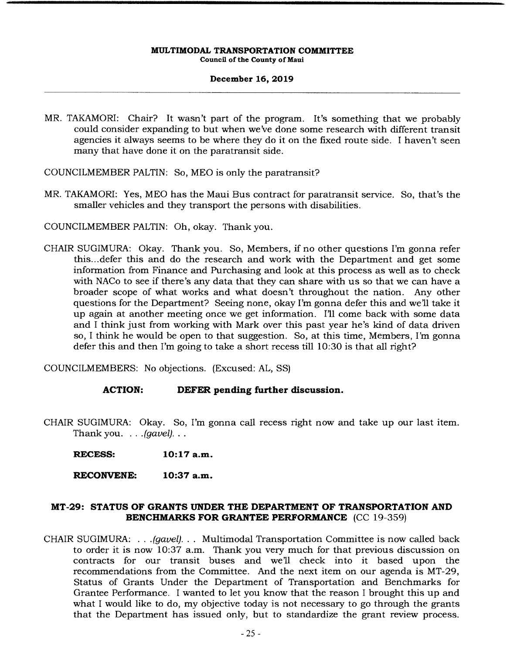# **December 16, 2019**

MR. TAKAMORI: Chair? It wasn't part of the program. It's something that we probably could consider expanding to but when we've done some research with different transit agencies it always seems to be where they do it on the fixed route side. I haven't seen many that have done it on the paratransit side.

COUNCILMEMBER PALTIN: So, MEO is only the paratransit?

MR. TAKAMORI: Yes, MEO has the Maui Bus contract for paratransit service. So, that's the smaller vehicles and they transport the persons with disabilities.

COUNCILMEMBER PALTIN: Oh, okay. Thank you.

CHAIR SUGIMURA: Okay. Thank you. So, Members, if no other questions I'm gonna refer this... defer this and do the research and work with the Department and get some information from Finance and Purchasing and look at this process as well as to check with NACo to see if there's any data that they can share with us so that we can have a broader scope of what works and what doesn't throughout the nation. Any other questions for the Department? Seeing none, okay I'm gonna defer this and we'll take it up again at another meeting once we get information. I'll come back with some data and I think just from working with Mark over this past year he's kind of data driven so, I think he would be open to that suggestion. So, at this time, Members, I'm gonna defer this and then I'm going to take a short recess till 10:30 is that all right?

COUNCILMEMBERS: No objections. (Excused: AL, SS)

# **ACTION: DEFER pending further discussion.**

CHAIR SUGIMURA: Okay. So, I'm gonna call recess right now and take up our last item. *Thank you.* .. *.(gavel)...* 

**RECESS: 10:17 a.m.** 

**RECONVENE: 10:37 a.m.** 

# **MT-29: STATUS OF GRANTS UNDER THE DEPARTMENT OF TRANSPORTATION AND BENCHMARKS FOR GRANTEE PERFORMANCE** (CC 19-359)

CHAIR SUGIMURA: . . . *(gavel). . .* Multimodal Transportation Committee is now called back to order it is now 10:37 a.m. Thank you very much for that previous discussion on contracts for our transit buses and we'll check into it based upon the recommendations from the Committee. And the next item on our agenda is MT-29, Status of Grants Under the Department of Transportation and Benchmarks for Grantee Performance. I wanted to let you know that the reason I brought this up and what I would like to do, my objective today is not necessary to go through the grants that the Department has issued only, but to standardize the grant review process.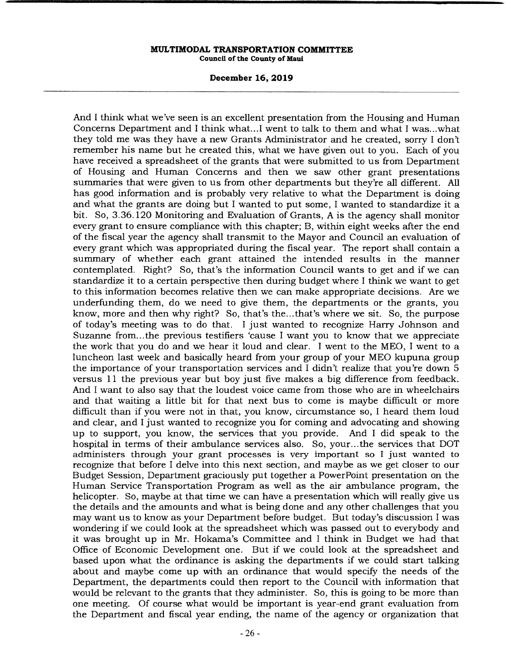**December 16, 2019** 

And I think what we've seen is an excellent presentation from the Housing and Human Concerns Department and I think what... I went to talk to them and what I was.. .what they told me was they have a new Grants Administrator and he created, sorry I don't remember his name but he created this, what we have given out to you. Each of you have received a spreadsheet of the grants that were submitted to us from Department of Housing and Human Concerns and then we saw other grant presentations summaries that were given to us from other departments but they're all different. All has good information and is probably very relative to what the Department is doing and what the grants are doing but I wanted to put some, I wanted to standardize it a bit. So, 3.36.120 Monitoring and Evaluation of Grants, A is the agency shall monitor every grant to ensure compliance with this chapter; B, within eight weeks after the end of the fiscal year the agency shall transmit to the Mayor and Council an evaluation of every grant which was appropriated during the fiscal year. The report shall contain a summary of whether each grant attained the intended results in the manner contemplated. Right? So, that's the information Council wants to get and if we can standardize it to a certain perspective then during budget where I think we want to get to this information becomes relative then we can make appropriate decisions. Are we underfunding them, do we need to give them, the departments or the grants, you know, more and then why right? So, that's the.. .that's where we sit. So, the purpose of today's meeting was to do that. I just wanted to recognize Harry Johnson and Suzanne from... the previous testifiers 'cause I want you to know that we appreciate the work that you do and we hear it loud and clear. I went to the MEO, I went to a luncheon last week and basically heard from your group of your MEO kupuna group the importance of your transportation services and I didn't realize that you're down 5 versus 11 the previous year but boy just five makes a big difference from feedback. And I want to also say that the loudest voice came from those who are in wheelchairs and that waiting a little bit for that next bus to come is maybe difficult or more difficult than if you were not in that, you know, circumstance so, I heard them loud and clear, and I just wanted to recognize you for coming and advocating and showing up to support, you know, the services that you provide. And I did speak to the hospital in terms of their ambulance services also. So, your... the services that DOT administers through your grant processes is very important so I just wanted to recognize that before I delve into this next section, and maybe as we get closer to our Budget Session, Department graciously put together a PowerPoint presentation on the Human Service Transportation Program as well as the air ambulance program, the helicopter. So, maybe at that time we can have a presentation which will really give us the details and the amounts and what is being done and any other challenges that you may want us to know as your Department before budget. But today's discussion I was wondering if we could look at the spreadsheet which was passed out to everybody and it was brought up in Mr. Hokama's Committee and I think in Budget we had that Office of Economic Development one. But if we could look at the spreadsheet and based upon what the ordinance is asking the departments if we could start talking about and maybe come up with an ordinance that would specify the needs of the Department, the departments could then report to the Council with information that would be relevant to the grants that they administer. So, this is going to be more than one meeting. Of course what would be important is year-end grant evaluation from the Department and fiscal year ending, the name of the agency or organization that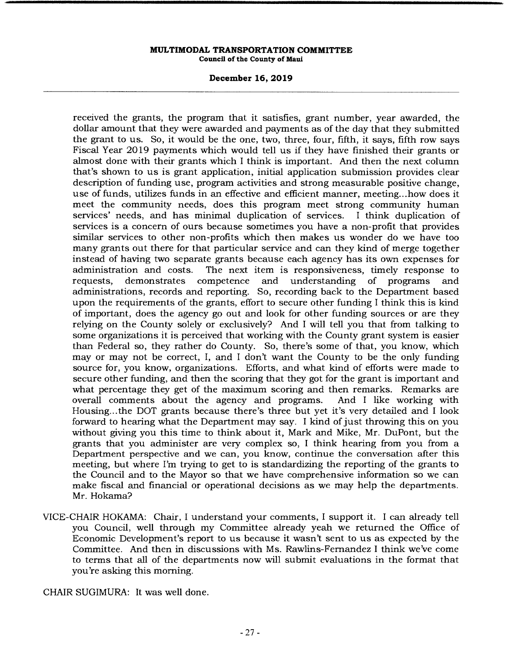**December 16, 2019** 

received the grants, the program that it satisfies, grant number, year awarded, the dollar amount that they were awarded and payments as of the day that they submitted the grant to us. So, it would be the one, two, three, four, fifth, it says, fifth row says Fiscal Year 2019 payments which would tell us if they have finished their grants or almost done with their grants which I think is important. And then the next column that's shown to us is grant application, initial application submission provides clear description of funding use, program activities and strong measurable positive change, use of funds, utilizes funds in an effective and efficient manner, meeting... how does it meet the community needs, does this program meet strong community human services' needs, and has minimal duplication of services. I think duplication of services is a concern of ours because sometimes you have a non-profit that provides similar services to other non-profits which then makes us wonder do we have too many grants out there for that particular service and can they kind of merge together instead of having two separate grants because each agency has its own expenses for administration and costs. The next item is responsiveness, timely response to requests, demonstrates competence and understanding of programs and administrations, records and reporting. So, recording back to the Department based upon the requirements of the grants, effort to secure other funding I think this is kind of important, does the agency go out and look for other funding sources or are they relying on the County solely or exclusively? And I will tell you that from talking to some organizations it is perceived that working with the County grant system is easier than Federal so, they rather do County. So, there's some of that, you know, which may or may not be correct, I, and I don't want the County to be the only funding source for, you know, organizations. Efforts, and what kind of efforts were made to secure other funding, and then the scoring that they got for the grant is important and what percentage they get of the maximum scoring and then remarks. Remarks are<br>overall comments about the agency and programs. And I like working with overall comments about the agency and programs. Housing... the DOT grants because there's three but yet it's very detailed and I look forward to hearing what the Department may say. I kind of just throwing this on you without giving you this time to think about it, Mark and Mike, Mr. DuPont, but the grants that you administer are very complex so, I think hearing from you from a Department perspective and we can, you know, continue the conversation after this meeting, but where I'm trying to get to is standardizing the reporting of the grants to the Council and to the Mayor so that we have comprehensive information so we can make fiscal and financial or operational decisions as we may help the departments. Mr. Hokama?

VICE-CHAIR HOKAMA: Chair, I understand your comments, I support it. I can already tell you Council, well through my Committee already yeah we returned the Office of Economic Development's report to us because it wasn't sent to us as expected by the Committee. And then in discussions with Ms. Rawlins-Fernandez I think we've come to terms that all of the departments now will submit evaluations in the format that you're asking this morning.

CHAIR SUGIMURA: It was well done.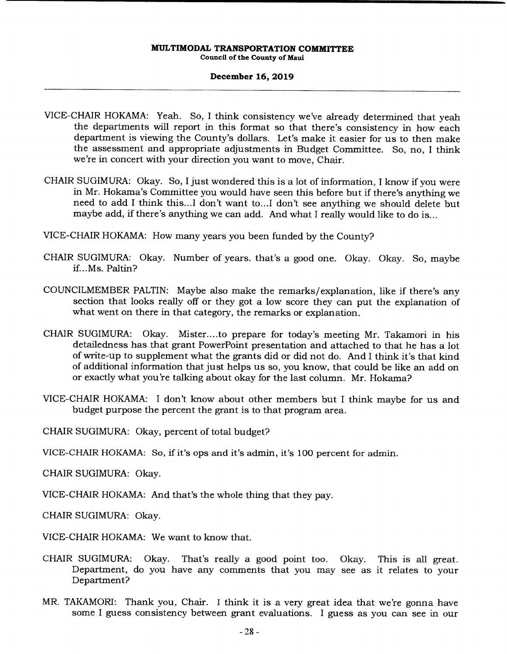## **December 16, 2019**

- VICE-CHAIR HOKAMA: Yeah. So, I think consistency we've already determined that yeah the departments will report in this format so that there's consistency in how each department is viewing the County's dollars. Let's make it easier for us to then make the assessment and appropriate adjustments in Budget Committee. So, no, I think we're in concert with your direction you want to move, Chair.
- CHAIR SUGIMURA: Okay. So, I just wondered this is a lot of information, I know if you were in Mr. Hokama's Committee you would have seen this before but if there's anything we need to add I think this.. .1 don't want to.. .1 don't see anything we should delete but maybe add, if there's anything we can add. And what I really would like to do is...
- VICE-CHAIR HOKAMA: How many years you been funded by the County?
- CHAIR SUGIMURA: Okay. Number of years. that's a good one. Okay. Okay. So, maybe if... Ms. Paltin?
- COUNCILMEMBER PALTIN: Maybe also make the remarks/ explanation, like if there's any section that looks really off or they got a low score they can put the explanation of what went on there in that category, the remarks or explanation.
- CHAIR SUGIMURA: Okay. Mister... .to prepare for today's meeting Mr. Takamori in his detailedness has that grant PowerPoint presentation and attached to that he has a lot of write-up to supplement what the grants did or did not do. And I think it's that kind of additional information that just helps us so, you know, that could be like an add on or exactly what you're talking about okay for the last column. Mr. Hokama?
- VICE-CHAIR HOKAMA: I don't know about other members but I think maybe for us and budget purpose the percent the grant is to that program area.
- CHAIR SUGIMURA: Okay, percent of total budget?
- VICE-CHAIR HOKAMA: So, if it's ops and it's admin, it's 100 percent for admin.

CHAIR SUGIMURA: Okay.

VICE-CHAIR HOKAMA: And that's the whole thing that they pay.

CHAIR SUGIMURA: Okay.

VICE-CHAIR HOKAMA: We want to know that.

- CHAIR SUGIMURA: Okay. That's really a good point too. Okay. This is all great. Department, do you have any comments that you may see as it relates to your Department?
- MR. TAKAMORI: Thank you, Chair. I think it is a very great idea that we're gonna have some I guess consistency between grant evaluations. I guess as you can see in our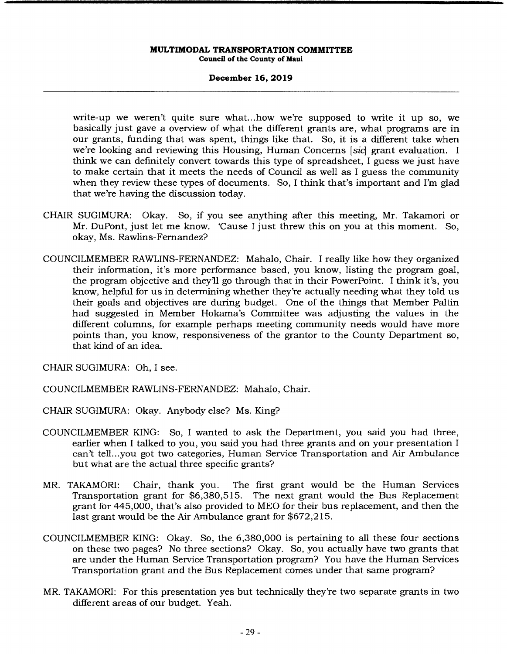# **December 16, 2019**

write-up we weren't quite sure what.. .how we're supposed to write it up so, we basically just gave a overview of what the different grants are, what programs are in our grants, funding that was spent, things like that. So, it is a different take when we're looking and reviewing this Housing, Human Concerns *[sic]* grant evaluation. I think we can definitely convert towards this type of spreadsheet, I guess we just have to make certain that it meets the needs of Council as well as I guess the community when they review these types of documents. So, I think that's important and I'm glad that we're having the discussion today.

- CHAIR SUGIMURA: Okay. So, if you see anything after this meeting, Mr. Takamori or Mr. DuPont, just let me know. 'Cause I just threw this on you at this moment. So, okay, Ms. Rawlins-Fernandez?
- COUNCILMEMBER RAWLINS-FERNANDEZ: Mahalo, Chair. I really like how they organized their information, it's more performance based, you know, listing the program goal, the program objective and they'll go through that in their PowerPoint. I think it's, you know, helpful for us in determining whether they're actually needing what they told us their goals and objectives are during budget. One of the things that Member Paltin had suggested in Member Hokama's Committee was adjusting the values in the different columns, for example perhaps meeting community needs would have more points than, you know, responsiveness of the grantor to the County Department so, that kind of an idea.

CHAIR SUGIMURA: Oh, I see.

COUNCILMEMBER RAWLINS-FERNANDEZ: Mahalo, Chair.

CHAIR SUGIMURA: Okay. Anybody else? Ms. King?

- COUNCILMEMBER KING: So, I wanted to ask the Department, you said you had three, earlier when I talked to you, you said you had three grants and on your presentation I can't tell... you got two categories, Human Service Transportation and Air Ambulance but what are the actual three specific grants?
- MR. TAKAMORI: Chair, thank you. The first grant would be the Human Services Transportation grant for \$6,380,515. The next grant would the Bus Replacement grant for 445,000, that's also provided to MEO for their bus replacement, and then the last grant would be the Air Ambulance grant for \$672,215.
- COUNCILMEMBER KING: Okay. So, the 6,380,000 is pertaining to all these four sections on these two pages? No three sections? Okay. So, you actually have two grants that are under the Human Service Transportation program? You have the Human Services Transportation grant and the Bus Replacement comes under that same program?
- MR. TAKAMORI: For this presentation yes but technically they're two separate grants in two different areas of our budget. Yeah.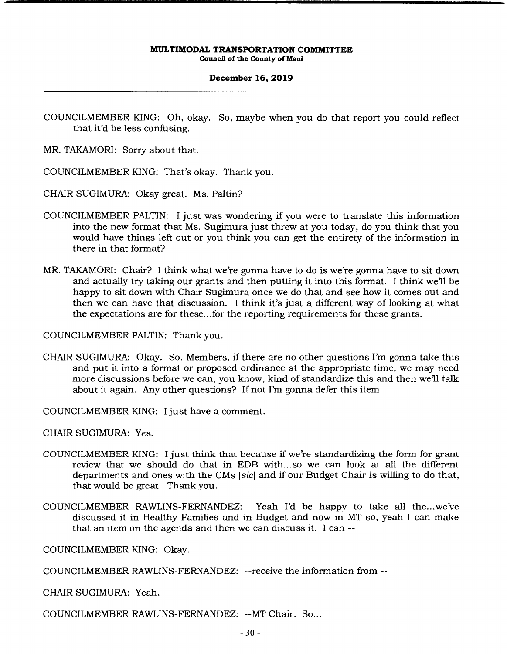**December 16, 2019** 

COUNCILMEMBER KING: Oh, okay. So, maybe when you do that report you could reflect that it'd be less confusing.

MR. TAKAMORI: Sorry about that.

COUNCILMEMBER KING: That's okay. Thank you.

CHAIR SUGIMURA: Okay great. Ms. Paltin?

- COUNCILMEMBER PALTIN: I just was wondering if you were to translate this information into the new format that Ms. Sugimura just threw at you today, do you think that you would have things left out or you think you can get the entirety of the information in there in that format?
- MR. TAKAMORI: Chair? I think what we're gonna have to do is we're gonna have to sit down and actually try taking our grants and then putting it into this format. I think we'll be happy to sit down with Chair Sugimura once we do that and see how it comes out and then we can have that discussion. I think it's just a different way of looking at what the expectations are for these.. .for the reporting requirements for these grants.

COUNCILMEMBER PALTIN: Thank you.

CHAIR SUGIMURA: Okay. So, Members, if there are no other questions I'm gonna take this and put it into a format or proposed ordinance at the appropriate time, we may need more discussions before we can, you know, kind of standardize this and then we'll talk about it again. Any other questions? If not I'm gonna defer this item.

COUNCILMEMBER KING: I just have a comment.

CHAIR SUGIMURA: Yes.

- COUNCILMEMBER KING: I just think that because if we're standardizing the form for grant review that we should do that in EDB with... so we can look at all the different departments and ones with the CMs *[sic]* and if our Budget Chair is willing to do that, that would be great. Thank you.
- COUNCILMEMBER RAWLINS-FERNANDEZ: Yeah I'd be happy to take all the.. .we've discussed it in Healthy Families and in Budget and now in MT so, yeah I can make that an item on the agenda and then we can discuss it. I can --

COUNCILMEMBER KING: Okay.

COUNCILMEMBER RAWLINS-FERNANDEZ: --receive the information from --

CHAIR SUGIMURA: Yeah.

COUNCILMEMBER RAWLINS-FERNANDEZ: --MT Chair. So...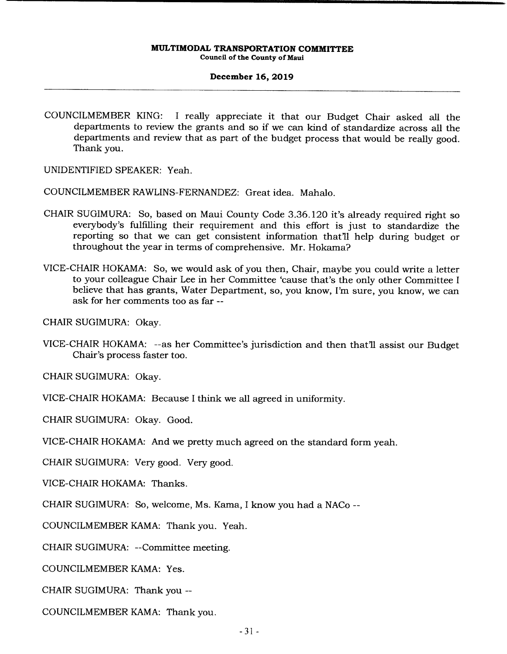# **December 16, 2019**

COUNCILMEMBER KING: I really appreciate it that our Budget Chair asked all the departments to review the grants and so if we can kind of standardize across all the departments and review that as part of the budget process that would be really good. Thank you.

UNIDENTIFIED SPEAKER: Yeah.

- COUNCILMEMBER RAWLINS-FERNANDEZ: Great idea. Mahalo.
- CHAIR SUGIMURA: So, based on Maui County Code 3.36.120 it's already required right so everybody's fulfilling their requirement and this effort is just to standardize the reporting so that we can get consistent information that'll help during budget or throughout the year in terms of comprehensive. Mr. Hokama?
- VICE-CHAIR HOKAMA: So, we would ask of you then, Chair, maybe you could write a letter to your colleague Chair Lee in her Committee 'cause that's the only other Committee I believe that has grants, Water Department, so, you know, I'm sure, you know, we can ask for her comments too as far --

CHAIR SUGIMURA: Okay.

VICE-CHAIR HOKAMA: --as her Committee's jurisdiction and then that'll assist our Budget Chair's process faster too.

CHAIR SUGIMURA: Okay.

VICE-CHAIR HOKAMA: Because I think we all agreed in uniformity.

CHAIR SUGIMURA: Okay. Good.

VICE-CHAIR HOKAMA: And we pretty much agreed on the standard form yeah.

CHAIR SUGIMURA: Very good. Very good.

VICE-CHAIR HOKAMA: Thanks.

CHAIR SUGIMURA: So, welcome, Ms. Kama, I know you had a NACo --

COUNCILMEMBER KAMA: Thank you. Yeah.

CHAIR SUGIMURA: --Committee meeting.

COUNCILMEMBER KAMA: Yes.

CHAIR SUGIMURA: Thank you --

COUNCILMEMBER KAMA: Thank you.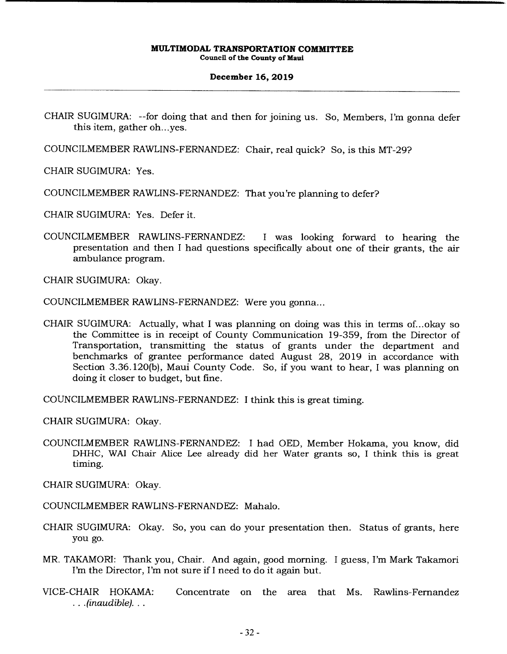# **December 16, 2019**

CHAIR SUGIMURA: --for doing that and then for joining us. So, Members, I'm gonna defer this item, gather oh...yes.

COUNCILMEMBER RAWLINS-FERNANDEZ: Chair, real quick? So, is this MT-29?

CHAIR SUGIMURA: Yes.

COUNCILMEMBER RAWLINS-FERNANDEZ: That you're planning to defer?

CHAIR SUGIMURA: Yes. Defer it.

COUNCILMEMBER RAWLINS-FERNANDEZ: I was looking forward to hearing the presentation and then I had questions specifically about one of their grants, the air ambulance program.

CHAIR SUGIMURA: Okay.

COUNCILMEMBER RAWLINS-FERNANDEZ: Were you gonna...

CHAIR SUGIMURA: Actually, what I was planning on doing was this in terms of... okay so the Committee is in receipt of County Communication 19-359, from the Director of Transportation, transmitting the status of grants under the department and benchmarks of grantee performance dated August 28, 2019 in accordance with Section 3.36.120(b), Maui County Code. So, if you want to hear, I was planning on doing it closer to budget, but fine.

COUNCILMEMBER RAWLINS-FERNANDEZ: I think this is great timing.

CHAIR SUGIMURA: Okay.

COUNCILMEMBER RAWLINS-FERNANDEZ: I had OED, Member Hokama, you know, did DHHC, WAI Chair Alice Lee already did her Water grants so, I think this is great timing.

CHAIR SUGIMURA: Okay.

COUNCILMEMBER RAWLINS-FERNANDEZ: Mahalo.

- CHAIR SUGIMURA: Okay. So, you can do your presentation then. Status of grants, here you go.
- MR. TAKAMORI: Thank you, Chair. And again, good morning. I guess, I'm Mark Takamori I'm the Director, I'm not sure if I need to do it again but.
- VICE-CHAIR HOKAMA: Concentrate on the area that Ms. Rawlins-Fernandez *(inaudible)...*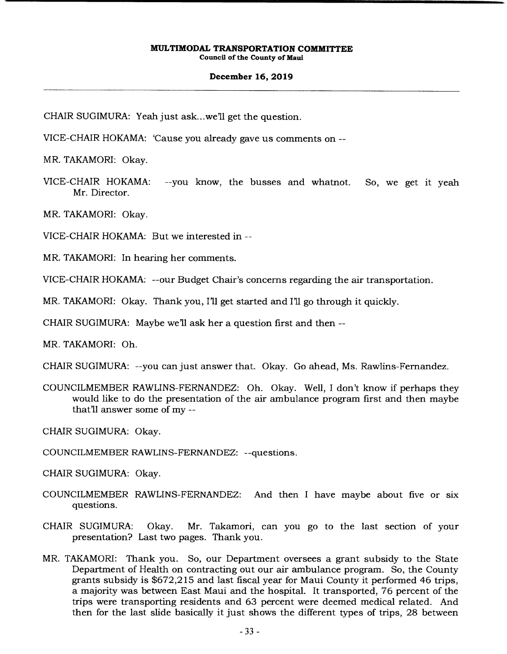### **December 16, 2019**

CHAIR SUGIMURA: Yeah just ask.. .we'll get the question.

VICE-CHAIR HOKAMA: 'Cause you already gave us comments on --

MR. TAKAMORI: Okay.

VICE-CHAIR HOKAMA: --you know, the busses and whatnot. Mr. Director. So, we get it yeah

MR. TAKAMORI: Okay.

VICE-CHAIR HOKAMA: But we interested in --

MR. TAKAMORI: In hearing her comments.

VICE-CHAIR HOKAMA: --our Budget Chair's concerns regarding the air transportation.

MR. TAKAMORI: Okay. Thank you, I'll get started and I'll go through it quickly.

CHAIR SUGIMURA: Maybe we'll ask her a question first and then --

MR. TAKAMORI: Oh.

- CHAIR SUGIMURA: --you can just answer that. Okay. Go ahead, Ms. Rawlins-Fernandez.
- COUNCILMEMBER RAWLINS-FERNANDEZ: Oh. Okay. Well, I don't know if perhaps they would like to do the presentation of the air ambulance program first and then maybe that'll answer some of my --

CHAIR SUGIMURA: Okay.

COUNCILMEMBER RAWLINS-FERNANDEZ: --questions.

CHAIR SUGIMURA: Okay.

- COUNCILMEMBER RAWLINS-FERNANDEZ: And then I have maybe about five or six questions.
- CHAIR SUGIMURA: Okay. Mr. Takamori, can you go to the last section of your presentation? Last two pages. Thank you.
- MR. TAKAMORI: Thank you. So, our Department oversees a grant subsidy to the State Department of Health on contracting out our air ambulance program. So, the County grants subsidy is \$672,215 and last fiscal year for Maui County it performed 46 trips, a majority was between East Maui and the hospital. It transported, 76 percent of the trips were transporting residents and 63 percent were deemed medical related. And then for the last slide basically it just shows the different types of trips, 28 between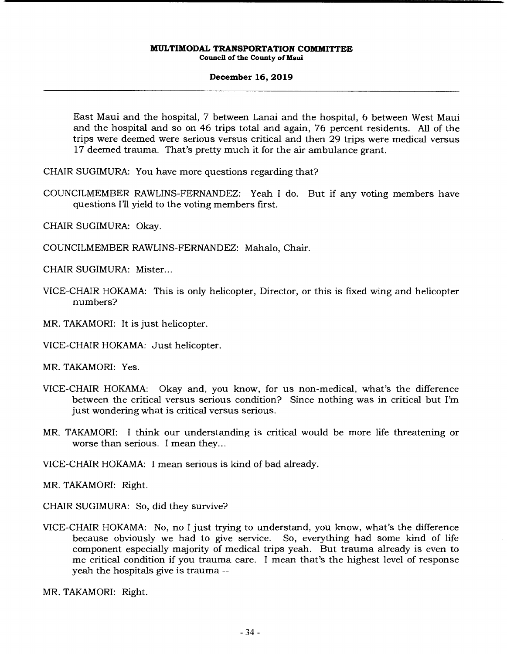# **December 16, 2019**

East Maui and the hospital, 7 between Lanai and the hospital, 6 between West Maui and the hospital and so on 46 trips total and again, 76 percent residents. All of the trips were deemed were serious versus critical and then 29 trips were medical versus 17 deemed trauma. That's pretty much it for the air ambulance grant.

CHAIR SUGIMURA: You have more questions regarding that?

COUNCILMEMBER RAWLINS-FERNANDEZ: Yeah I do. But if any voting members have questions I'll yield to the voting members first.

CHAIR SUGIMURA: Okay.

COUNCILMEMBER RAWLINS-FERNANDEZ: Mahalo, Chair.

CHAIR SUGIMURA: Mister...

- VICE-CHAIR HOKAMA: This is only helicopter, Director, or this is fixed wing and helicopter numbers?
- MR. TAKAMORI: It is just helicopter.
- VICE-CHAIR HOKAMA: Just helicopter.

MR. TAKAMORI: Yes.

- VICE-CHAIR HOKAMA: Okay and, you know, for us non-medical, what's the difference between the critical versus serious condition? Since nothing was in critical but I'm just wondering what is critical versus serious.
- MR. TAKAMORI: I think our understanding is critical would be more life threatening or worse than serious. I mean they...

VICE-CHAIR HOKAMA: I mean serious is kind of bad already.

MR. TAKAMORI: Right.

CHAIR SUGIMURA: So, did they survive?

VICE-CHAIR HOKAMA: No, no I just trying to understand, you know, what's the difference because obviously we had to give service. So, everything had some kind of life component especially majority of medical trips yeah. But trauma already is even to me critical condition if you trauma care. I mean that's the highest level of response yeah the hospitals give is trauma --

MR. TAKAMORI: Right.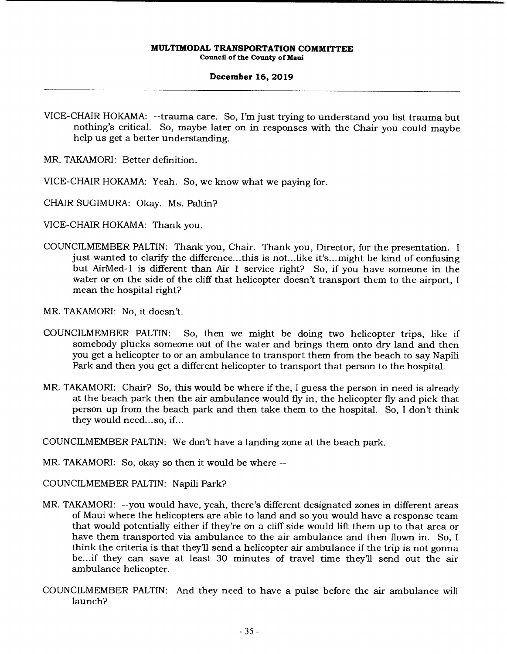# **December 16, 2019**

- VICE-CHAIR HOKAMA: --trauma care. So, I'm just trying to understand you list trauma but nothing's critical. So, maybe later on in responses with the Chair you could maybe help us get a better understanding.
- MR. TAKAMORI: Better definition.
- VICE-CHAIR HOKAMA: Yeah. So, we know what we paying for.
- CHAIR SUGIMURA: Okay. Ms. Paltin?
- VICE-CHAIR HOKAMA: Thank you.
- COUNCILMEMBER PALTIN: Thank you, Chair. Thank you, Director, for the presentation. I just wanted to clarify the difference.., this is not... like it's... might be kind of confusing but AirMed-1 is different than Air 1 service right? So, if you have someone in the water or on the side of the cliff that helicopter doesn't transport them to the airport, I mean the hospital right?
- MR. TAKAMORI: No, it doesn't.
- COUNCILMEMBER PALTIN: So, then we might be doing two helicopter trips, like if somebody plucks someone out of the water and brings them onto dry land and then you get a helicopter to or an ambulance to transport them from the beach to say Napili Park and then you get a different helicopter to transport that person to the hospital.
- MR. TAKAMORI: Chair? So, this would be where if the, I guess the person in need is already at the beach park then the air ambulance would fly in, the helicopter fly and pick that person up from the beach park and then take them to the hospital. So, I don't think they would need...so, if...

COUNCILMEMBER PALTIN: We don't have a landing zone at the beach park.

MR. TAKAMORI: So, okay so then it would be where --

COUNCILMEMBER PALTIN: Napili Park?

- MR. TAKAMORI: --you would have, yeah, there's different designated zones in different areas of Maui where the helicopters are able to land and so you would have a response team that would potentially either if they're on a cliff side would lift them up to that area or have them transported via ambulance to the air ambulance and then flown in. So, I think the criteria is that they'll send a helicopter air ambulance if the trip is not gonna be... if they can save at least 30 minutes of travel time they'll send out the air ambulance helicopter.
- COUNCILMEMBER PALTIN: And they need to have a pulse before the air ambulance will launch?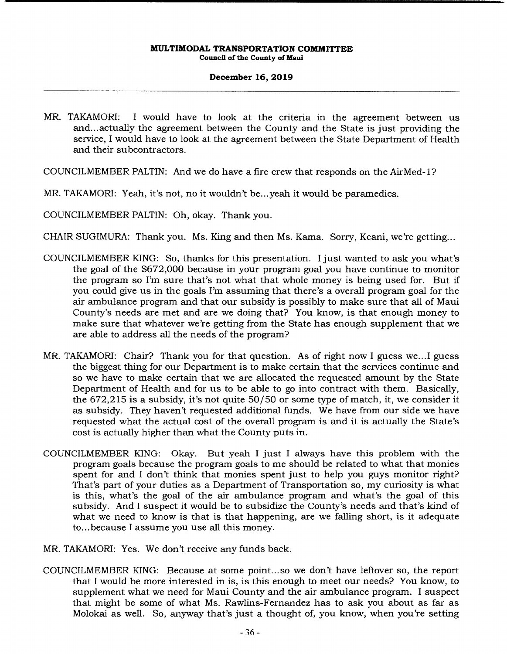# **December 16, 2019**

MR. TAKAMORI: I would have to look at the criteria in the agreement between us and... actually the agreement between the County and the State is just providing the service, I would have to look at the agreement between the State Department of Health and their subcontractors.

COUNCILMEMBER PALTIN: And we do have a fire crew that responds on the AirMed- 1?

- MR. TAKAMORI: Yeah, it's not, no it wouldn't be.. .yeah it would be paramedics.
- COUNCILMEMBER PALTIN: Oh, okay. Thank you.

CHAIR SUGIMURA: Thank you. Ms. King and then Ms. Kama. Sorry, Keani, we're getting...

- COUNCILMEMBER KING: So, thanks for this presentation. I just wanted to ask you what's the goal of the \$672,000 because in your program goal you have continue to monitor the program so I'm sure that's not what that whole money is being used for. But if you could give us in the goals I'm assuming that there's a overall program goal for the air ambulance program and that our subsidy is possibly to make sure that all of Maui County's needs are met and are we doing that? You know, is that enough money to make sure that whatever we're getting from the State has enough supplement that we are able to address all the needs of the program?
- MR. TAKAMORI: Chair? Thank you for that question. As of right now I guess we...I guess the biggest thing for our Department is to make certain that the services continue and so we have to make certain that we are allocated the requested amount by the State Department of Health and for us to be able to go into contract with them. Basically, the 672,215 is a subsidy, it's not quite 50/50 or some type of match, it, we consider it as subsidy. They haven't requested additional funds. We have from our side we have requested what the actual cost of the overall program is and it is actually the State's cost is actually higher than what the County puts in.
- COUNCILMEMBER KING: Okay. But yeah I just I always have this problem with the program goals because the program goals to me should be related to what that monies spent for and I don't think that monies spent just to help you guys monitor right? That's part of your duties as a Department of Transportation so, my curiosity is what is this, what's the goal of the air ambulance program and what's the goal of this subsidy. And I suspect it would be to subsidize the County's needs and that's kind of what we need to know is that is that happening, are we falling short, is it adequate to... because I assume you use all this money.

MR. TAKAMORI: Yes. We don't receive any funds back.

COUNCILMEMBER KING: Because at some point.., so we don't have leftover so, the report that I would be more interested in is, is this enough to meet our needs? You know, to supplement what we need for Maui County and the air ambulance program. I suspect that might be some of what Ms. Rawlins-Fernandez has to ask you about as far as Molokai as well. So, anyway that's just a thought of, you know, when you're setting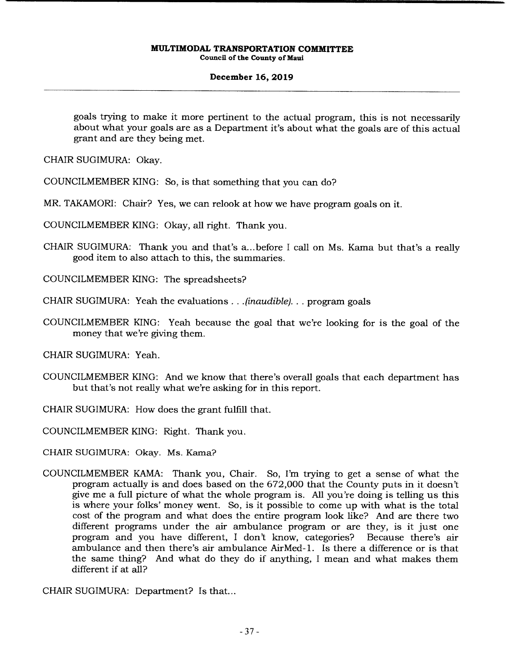# **December 16, 2019**

goals trying to make it more pertinent to the actual program, this is not necessarily about what your goals are as a Department it's about what the goals are of this actual grant and are they being met.

CHAIR SUGIMURA: Okay.

COUNCILMEMBER KING: So, is that something that you can do?

MR. TAKAMORI: Chair? Yes, we can relook at how we have program goals on it.

COUNCILMEMBER KING: Okay, all right. Thank you.

CHAIR SUGIMURA: Thank you and that's a... before I call on Ms. Kama but that's a really good item to also attach to this, the summaries.

COUNCILMEMBER KING: The spreadsheets?

CHAIR SUGIMURA: Yeah the evaluations. . . *(inaudible). . .* program goals

COUNCILMEMBER KING: Yeah because the goal that we're looking for is the goal of the money that we're giving them.

CHAIR SUGIMURA: Yeah.

- COUNCILMEMBER KING: And we know that there's overall goals that each department has but that's not really what we're asking for in this report.
- CHAIR SUGIMURA: How does the grant fulfill that.

COUNCILMEMBER KING: Right. Thank you.

CHAIR SUGIMURA: Okay. Ms. Kama?

COUNCILMEMBER KAMA: Thank you, Chair. So, I'm trying to get a sense of what the program actually is and does based on the 672,000 that the County puts in it doesn't give me a full picture of what the whole program is. All you're doing is telling us this is where your folks' money went. So, is it possible to come up with what is the total cost of the program and what does the entire program look like? And are there two different programs under the air ambulance program or are they, is it just one program and you have different, I don't know, categories? Because there's air ambulance and then there's air ambulance AirMed-1. Is there a difference or is that the same thing? And what do they do if anything, I mean and what makes them different if at all?

CHAIR SUGIMURA: Department? Is that...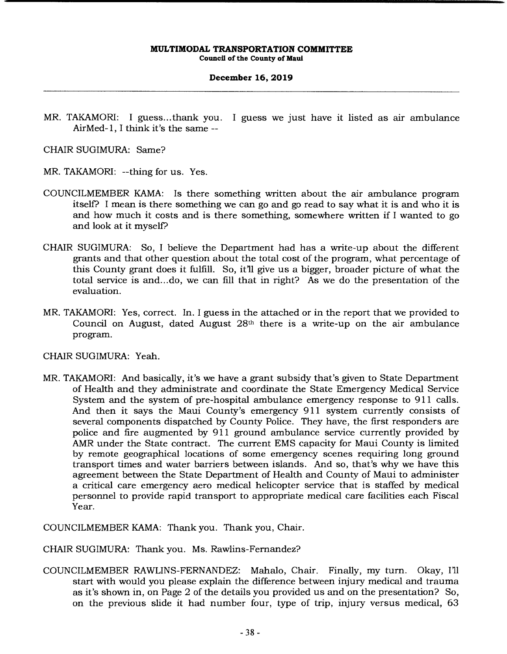MR. TAKAMORI: I guess.. .thank you. I guess we just have it listed as air ambulance AirMed-1, I think it's the same --

CHAIR SUGIMURA: Same?

MR. TAKAMORI: --thing for us. Yes.

- COUNCILMEMBER KAMA: Is there something written about the air ambulance program itself? I mean is there something we can go and go read to say what it is and who it is and how much it costs and is there something, somewhere written if I wanted to go and look at it myself?
- CHAIR SUGIMURA: So, I believe the Department had has a write-up about the different grants and that other question about the total cost of the program, what percentage of this County grant does it fulfill. So, it'll give us a bigger, broader picture of what the total service is and... do, we can fill that in right? As we do the presentation of the evaluation.
- MR. TAKAMORI: Yes, correct. In. I guess in the attached or in the report that we provided to Council on August, dated August  $28<sup>th</sup>$  there is a write-up on the air ambulance program.

CHAIR SUGIMURA: Yeah.

MR. TAKAMORI: And basically, it's we have a grant subsidy that's given to State Department of Health and they administrate and coordinate the State Emergency Medical Service System and the system of pre-hospital ambulance emergency response to 911 calls. And then it says the Maui County's emergency 911 system currently consists of several components dispatched by County Police. They have, the first responders are police and fire augmented by 911 ground ambulance service currently provided by AMR under the State contract. The current EMS capacity for Maui County is limited by remote geographical locations of some emergency scenes requiring long ground transport times and water barriers between islands. And so, that's why we have this agreement between the State Department of Health and County of Maui to administer a critical care emergency aero medical helicopter service that is staffed by medical personnel to provide rapid transport to appropriate medical care facilities each Fiscal Year.

COUNCILMEMBER KAMA: Thank you. Thank you, Chair.

CHAIR SUGIMURA: Thank you. Ms. Rawlins-Fernandez?

COUNCILMEMBER RAWLINS-FERNANDEZ: Mahalo, Chair. Finally, my turn. Okay, I'll start with would you please explain the difference between injury medical and trauma as it's shown in, on Page 2 of the details you provided us and on the presentation? So, on the previous slide it had number four, type of trip, injury versus medical, 63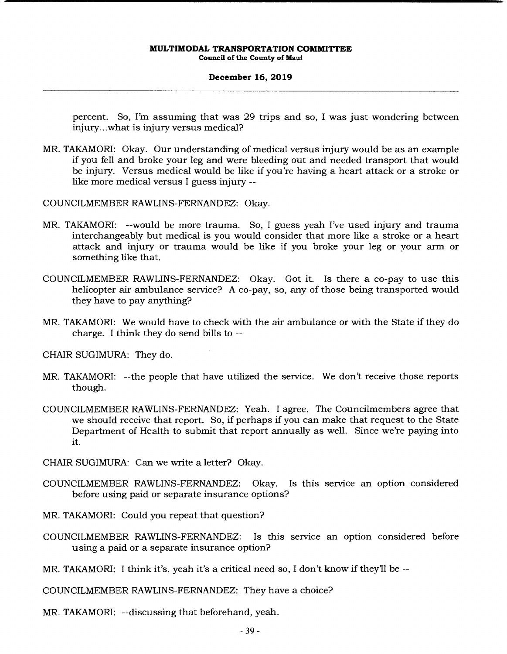**December 16, 2019** 

percent. So, I'm assuming that was 29 trips and so, I was just wondering between injury.. .what is injury versus medical?

MR. TAKAMORI: Okay. Our understanding of medical versus injury would be as an example if you fell and broke your leg and were bleeding out and needed transport that would be injury. Versus medical would be like if you're having a heart attack or a stroke or like more medical versus I guess injury --

COUNCILMEMBER RAWLINS-FERNANDEZ: Okay.

- MR. TAKAMORI: --would be more trauma. So, I guess yeah I've used injury and trauma interchangeably but medical is you would consider that more like a stroke or a heart attack and injury or trauma would be like if you broke your leg or your arm or something like that.
- COUNCILMEMBER RAWLINS-FERNANDEZ: Okay. Got it. Is there a co-pay to use this helicopter air ambulance service? A co-pay, so, any of those being transported would they have to pay anything?
- MR. TAKAMORI: We would have to check with the air ambulance or with the State if they do charge. I think they do send bills to --

CHAIR SUGIMURA: They do.

- MR. TAKAMORI: --the people that have utilized the service. We don't receive those reports though.
- COUNCILMEMBER RAWLINS-FERNANDEZ: Yeah. I agree. The Councilmembers agree that we should receive that report. So, if perhaps if you can make that request to the State Department of Health to submit that report annually as well. Since we're paying into it.
- CHAIR SUGIMURA: Can we write a letter? Okay.
- COUNCILMEMBER RAWLINS-FERNANDEZ: Okay. Is this service an option considered before using paid or separate insurance options?
- MR. TAKAMORI: Could you repeat that question?
- COUNCILMEMBER RAWLINS-FERNANDEZ: Is this service an option considered before using a paid or a separate insurance option?
- MR. TAKAMORI: I think it's, yeah it's a critical need so, I don't know if they'll be --

COUNCILMEMBER RAWLINS-FERNANDEZ: They have a choice?

MR. TAKAMORI: --discussing that beforehand, yeah.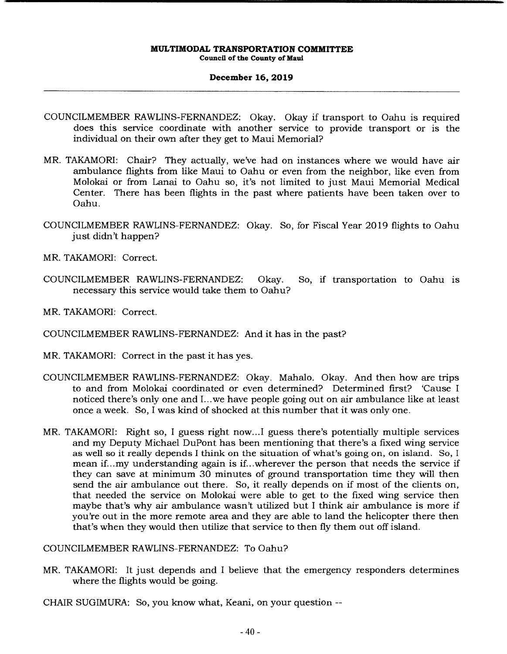# **December 16, 2019**

- COUNCILMEMBER RAWLINS-FERNANDEZ: Okay. Okay if transport to Oahu is required does this service coordinate with another service to provide transport or is the individual on their own after they get to Maui Memorial?
- MR. TAKAMORI: Chair? They actually, we've had on instances where we would have air ambulance flights from like Maui to Oahu or even from the neighbor, like even from Molokai or from Lanai to Oahu so, it's not limited to just Maui Memorial Medical Center. There has been flights in the past where patients have been taken over to Oahu.
- COUNCILMEMBER RAWLINS-FERNANDEZ: Okay. So, for Fiscal Year 2019 flights to Oahu just didn't happen?
- MR. TAKAMORI: Correct.
- COUNCILMEMBER RAWLINS-FERNANDEZ: Okay. So, if transportation to Oahu is necessary this service would take them to Oahu?
- MR. TAKAMORI: Correct.
- COUNCILMEMBER RAWLINS-FERNANDEZ: And it has in the past?
- MR. TAKAMORI: Correct in the past it has yes.
- COUNCILMEMBER RAWLINS-FERNANDEZ: Okay. Mahalo. Okay. And then how are trips to and from Molokai coordinated or even determined? Determined first? 'Cause I noticed there's only one and I... we have people going out on air ambulance like at least once a week. So, I was kind of shocked at this number that it was only one.
- MR. TAKAMORI: Right so, I guess right now... I guess there's potentially multiple services and my Deputy Michael DuPont has been mentioning that there's a fixed wing service as well so it really depends I think on the situation of what's going on, on island. So, I mean if... my understanding again is if.. .wherever the person that needs the service if they can save at minimum 30 minutes of ground transportation time they will then send the air ambulance out there. So, it really depends on if most of the clients on, that needed the service on Molokai were able to get to the fixed wing service then maybe that's why air ambulance wasn't utilized but I think air ambulance is more if you're out in the more remote area and they are able to land the helicopter there then that's when they would then utilize that service to then fly them out off island.

# COUNCILMEMBER RAWLINS-FERNANDEZ: To Oahu?

MR. TAKAMORI: It just depends and I believe that the emergency responders determines where the flights would be going.

CHAIR SUGIMURA: So, you know what, Keani, on your question --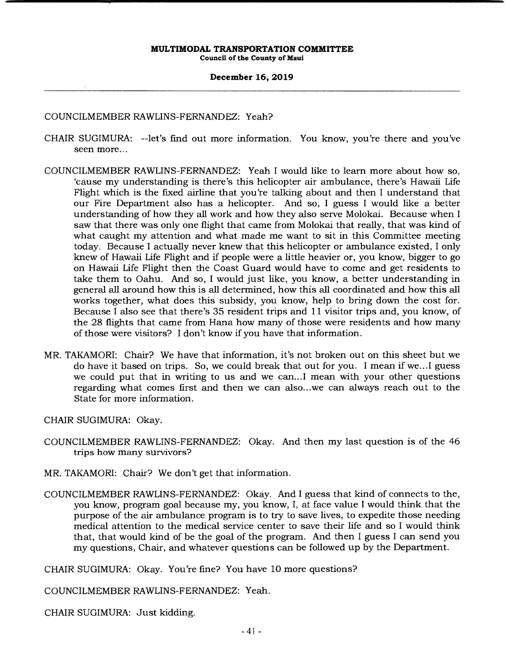### **December 16, 2019**

# COUNCILMEMBER RAWLINS-FERNANDEZ: Yeah?

- CHAIR SUGIMURA: --let's find out more information. You know, you're there and you've seen more...
- COUNCILMEMBER RAWLINS-FERNANDEZ: Yeah I would like to learn more about how so, 'cause my understanding is there's this helicopter air ambulance, there's Hawaii Life Flight which is the fixed airline that you're talking about and then I understand that our Fire Department also has a helicopter. And so, I guess I would like a better understanding of how they all work and how they also serve Molokai. Because when I saw that there was only one flight that came from Molokai that really, that was kind of what caught my attention and what made me want to sit in this Committee meeting today. Because I actually never knew that this helicopter or ambulance existed, I only knew of Hawaii Life Flight and if people were a little heavier or, you know, bigger to go on Hawaii Life Flight then the Coast Guard would have to come and get residents to take them to Oahu. And so, I would just like, you know, a better understanding in general all around how this is all determined, how this all coordinated and how this all works together, what does this subsidy, you know, help to bring down the cost for. Because I also see that there's 35 resident trips and 11 visitor trips and, you know, of the 28 flights that came from Hana how many of those were residents and how many of those were visitors? I don't know if you have that information.
- MR. TAKAMORI: Chair? We have that information, it's not broken out on this sheet but we do have it based on trips. So, we could break that out for you. I mean if we... I guess we could put that in writing to us and we can...I mean with your other questions regarding what comes first and then we can also.. .we can always reach out to the State for more information.

CHAIR SUGIMURA: Okay.

- COUNCILMEMBER RAWLINS-FERNANDEZ: Okay. And then my last question is of the 46 trips how many survivors?
- MR. TAKAMORI: Chair? We don't get that information.
- COUNCILMEMBER RAWLINS-FERNANDEZ: Okay. And I guess that kind of connects to the, you know, program goal because my, you know, I, at face value I would think that the purpose of the air ambulance program is to try to save lives, to expedite those needing medical attention to the medical service center to save their life and so I would think that, that would kind of be the goal of the program. And then I guess I can send you my questions, Chair, and whatever questions can be followed up by the Department.

CHAIR SUGIMURA: Okay. You're fine? You have 10 more questions?

COUNCILMEMBER RAWLINS-FERNANDEZ: Yeah.

CHAIR SUGIMURA: Just kidding.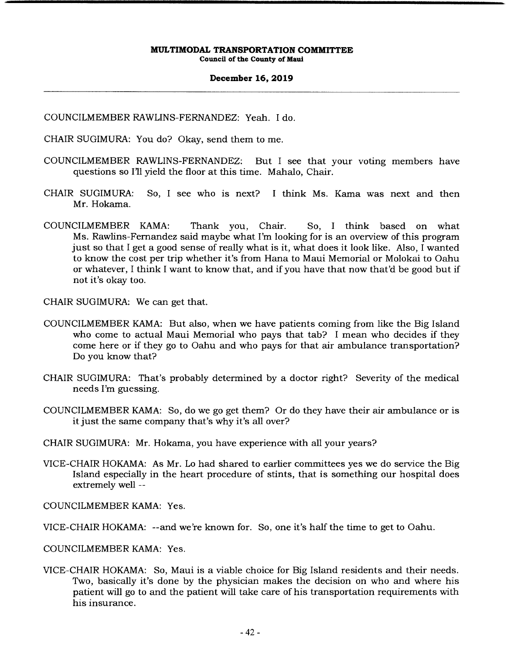### **December 16, 2019**

COUNCILMEMBER RAWLINS-FERNANDEZ: Yeah. I do.

CHAIR SUGIMURA: You do? Okay, send them to me.

- COUNCILMEMBER RAWLINS-FERNANDEZ: But I see that your voting members have questions so I'll yield the floor at this time. Mahalo, Chair.
- CHAIR SUGIMURA: So, I see who is next? I think Ms. Kama was next and then Mr. Hokama.
- COUNCILMEMBER KAMA: Thank you, Chair. So, I think based on what Ms. Rawlins-Fernandez said maybe what I'm looking for is an overview of this program just so that I get a good sense of really what is it, what does it look like. Also, I wanted to know the cost per trip whether it's from Hana to Maui Memorial or Molokai to Oahu or whatever, I think I want to know that, and if you have that now that'd be good but if not it's okay too.

CHAIR SUGIMURA: We can get that.

- COUNCILMEMBER KAMA: But also, when we have patients coming from like the Big Island who come to actual Maui Memorial who pays that tab? I mean who decides if they come here or if they go to Oahu and who pays for that air ambulance transportation? Do you know that?
- CHAIR SUGIMURA: That's probably determined by a doctor right? Severity of the medical needs I'm guessing.
- COUNCILMEMBER KAMA: So, do we go get them? Or do they have their air ambulance or is it just the same company that's why it's all over?

CHAIR SUGIMURA: Mr. Hokama, you have experience with all your years?

VICE-CHAIR HOKAMA: As Mr. Lo had shared to earlier committees yes we do service the Big Island especially in the heart procedure of stints, that is something our hospital does extremely well --

COUNCILMEMBER KAMA: Yes.

VICE-CHAIR HOKAMA: --and we're known for. So, one it's half the time to get to Oahu.

COUNCILMEMBER KAMA: Yes.

VICE-CHAIR HOKAMA: So, Maui is a viable choice for Big Island residents and their needs. Two, basically it's done by the physician makes the decision on who and where his patient will go to and the patient will take care of his transportation requirements with his insurance.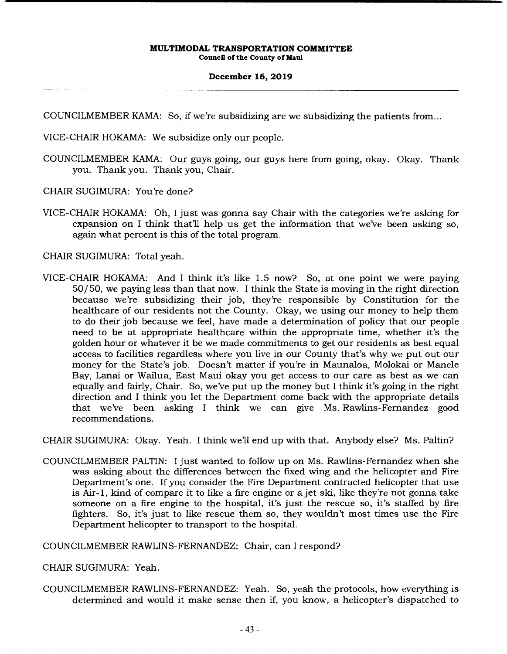### **December 16, 2019**

COUNCILMEMBER KAMA: So, if we're subsidizing are we subsidizing the patients from...

- VICE-CHAIR HOKAMA: We subsidize only our people.
- COUNCILMEMBER KAMA: Our guys going, our guys here from going, okay. Okay. Thank you. Thank you. Thank you, Chair.
- CHAIR SUGIMURA: You're done?
- VICE-CHAIR HOKAMA: Oh, I just was gonna say Chair with the categories we're asking for expansion on I think that'll help us get the information that we've been asking so, again what percent is this of the total program.

CHAIR SUGIMURA: Total yeah.

VICE-CHAIR HOKAMA: And I think it's like 1.5 now? So, at one point we were paying 50/50, we paying less than that now. I think the State is moving in the right direction because we're subsidizing their job, they're responsible by Constitution for the healthcare of our residents not the County. Okay, we using our money to help them to do their job because we feel, have made a determination of policy that our people need to be at appropriate healthcare within the appropriate time, whether it's the golden hour or whatever it be we made commitments to get our residents as best equal access to facilities regardless where you live in our County that's why we put out our money for the State's job. Doesn't matter if you're in Maunaloa, Molokai or Manele Bay, Lanai or Wailua, East Maui okay you get access to our care as best as we can equally and fairly, Chair. So, we've put up the money but I think it's going in the right direction and I think you let the Department come back with the appropriate details that we've been asking I think we can give Ms. Rawlins-Fernandez good recommendations.

CHAIR SUGIMURA: Okay. Yeah. I think well end up with that. Anybody else? Ms. Paltin?

COUNCILMEMBER PALTIN: I just wanted to follow up on Ms. Rawlins-Fernandez when she was asking about the differences between the fixed wing and the helicopter and Fire Department's one. If you consider the Fire Department contracted helicopter that use is Air- 1, kind of compare it to like a fire engine or a jet ski, like they're not gonna take someone on a fire engine to the hospital, it's just the rescue so, it's staffed by fire fighters. So, it's just to like rescue them so, they wouldn't most times use the Fire Department helicopter to transport to the hospital.

COUNCILMEMBER RAWLINS-FERNANDEZ: Chair, can I respond?

# CHAIR SUGIMURA: Yeah.

COUNCILMEMBER RAWLINS-FERNANDEZ: Yeah. So, yeah the protocols, how everything is determined and would it make sense then if, you know, a helicopter's dispatched to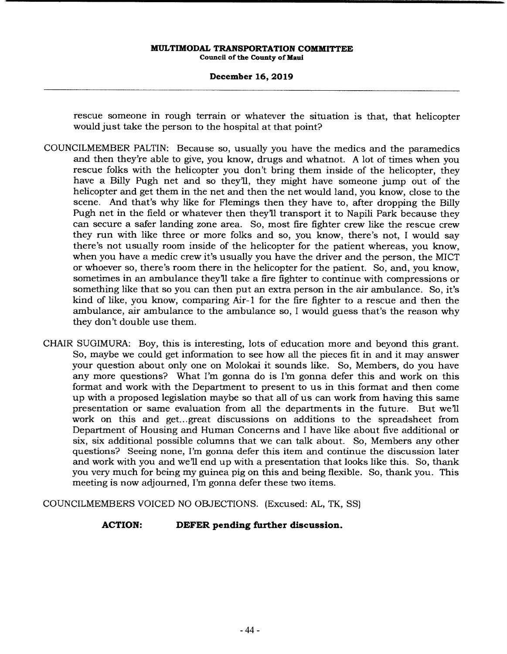rescue someone in rough terrain or whatever the situation is that, that helicopter would just take the person to the hospital at that point?

- COUNCILMEMBER PALTIN: Because so, usually you have the medics and the paramedics and then they're able to give, you know, drugs and whatnot. A lot of times when you rescue folks with the helicopter you don't bring them inside of the helicopter, they have a Billy Pugh net and so they'll, they might have someone jump out of the helicopter and get them in the net and then the net would land, you know, close to the scene. And that's why like for Flemings then they have to, after dropping the Billy Pugh net in the field or whatever then they'll transport it to Napili Park because they can secure a safer landing zone area. So, most fire fighter crew like the rescue crew they run with like three or more folks and so, you know, there's not, I would say there's not usually room inside of the helicopter for the patient whereas, you know, when you have a medic crew it's usually you have the driver and the person, the MICT or whoever so, there's room there in the helicopter for the patient. So, and, you know, sometimes in an ambulance they'll take a fire fighter to continue with compressions or something like that so you can then put an extra person in the air ambulance. So, it's kind of like, you know, comparing Air-1 for the fire fighter to a rescue and then the ambulance, air ambulance to the ambulance so, I would guess that's the reason why they don't double use them.
- CHAIR SUGIMURA: Boy, this is interesting, lots of education more and beyond this grant. So, maybe we could get information to see how all the pieces fit in and it may answer your question about only one on Molokai it sounds like. So, Members, do you have any more questions? What I'm gonna do is I'm gonna defer this and work on this format and work with the Department to present to us in this format and then come up with a proposed legislation maybe so that all of us can work from having this same presentation or same evaluation from all the departments in the future. But well work on this and get... great discussions on additions to the spreadsheet from Department of Housing and Human Concerns and I have like about five additional or six, six additional possible columns that we can talk about. So, Members any other questions? Seeing none, I'm gonna defer this item and continue the discussion later and work with you and we'll end up with a presentation that looks like this. So, thank you very much for being my guinea pig on this and being flexible. So, thank you. This meeting is now adjourned, I'm gonna defer these two items.

COUNCILMEMBERS VOICED NO OBJECTIONS. (Excused: AL, TK, SS)

# **ACTION: DEFER pending further discussion.**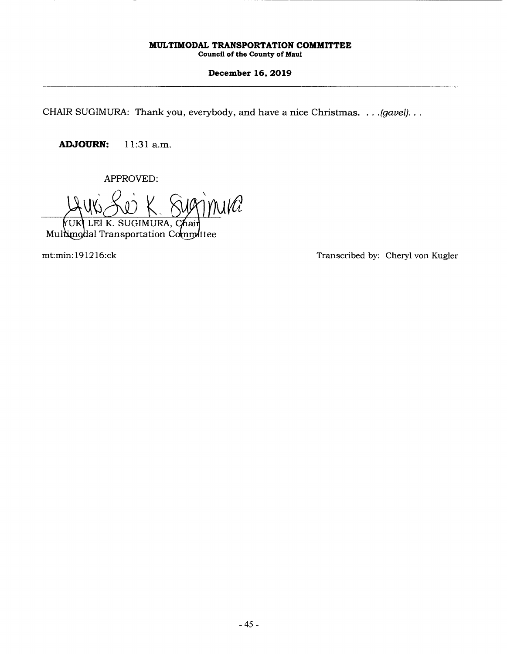# **December 16, 2019**

CHAIR SUGIMURA: Thank you, everybody, and have a nice Christmas. . . .*(gavel)...* 

**ADJOURN:** 11:31a.m.

APPROVED:

 $\cup \mathscr{U}$ YUKI LEI K. SUGIMURA, C*h*aii

Multimodal Transportation Committee

mt:min: 1912 16:ck Transcribed by: Cheryl von Kugler